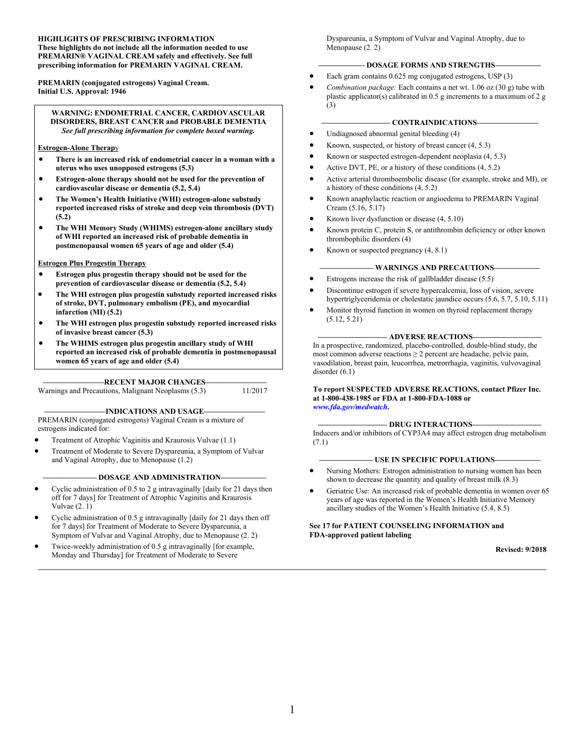#### **HIGHLIGHTS OF PRESCRIBING INFORMATION**

**These highlights do not include all the information needed to use PREMARIN® VAGINAL CREAM safely and effectively. See full prescribing information for PREMARIN VAGINAL CREAM.**

**PREMARIN (conjugated estrogens) Vaginal Cream. Initial U.S. Approval: 1946**

#### **WARNING: ENDOMETRIAL CANCER, CARDIOVASCULAR DISORDERS, BREAST CANCER and PROBABLE DEMENTIA** *See full prescribing information for complete boxed warning.*

#### **Estrogen-Alone Therap**y

- **There is an increased risk of endometrial cancer in a woman with a uterus who uses unopposed estrogens (5.3)**
- **Estrogen-alone therapy should not be used for the prevention of cardiovascular disease or dementia (5.2, 5.4)**
- **The Women's Health Initiative (WHI) estrogen-alone substudy reported increased risks of stroke and deep vein thrombosis (DVT) (5.2)**
- **The WHI Memory Study (WHIMS) estrogen-alone ancillary study of WHI reported an increased risk of probable dementia in postmenopausal women 65 years of age and older (5.4)**

#### **Estrogen Plus Progestin Therapy**

- **Estrogen plus progestin therapy should not be used for the prevention of cardiovascular disease or dementia (5.2, 5.4)**
- **The WHI estrogen plus progestin substudy reported increased risks of stroke, DVT, pulmonary embolism (PE), and myocardial infarction (MI) (5.2)**
- **The WHI estrogen plus progestin substudy reported increased risks of invasive breast cancer (5.3)**
- **The WHIMS estrogen plus progestin ancillary study of WHI reported an increased risk of probable dementia in postmenopausal women 65 years of age and older (5.4)**

#### **————————RECENT MAJOR CHANGES————————**

Warnings and Precautions, Malignant Neoplasms (5.3) 11/2017

#### **————————INDICATIONS AND USAGE————————**

PREMARIN (conjugated estrogens) Vaginal Cream is a mixture of estrogens indicated for:

- Treatment of Atrophic Vaginitis and Kraurosis Vulvae (1.1)
- Treatment of Moderate to Severe Dyspareunia, a Symptom of Vulvar and Vaginal Atrophy, due to Menopause (1.2)

#### **——————— DOSAGE AND ADMINISTRATION——————**

- Cyclic administration of 0.5 to 2 g intravaginally [daily for 21 days then off for 7 days] for Treatment of Atrophic Vaginitis and Kraurosis Vulvae (2. 1)
- Cyclic administration of 0.5 g intravaginally [daily for 21 days then off for 7 days] for Treatment of Moderate to Severe Dyspareunia, a Symptom of Vulvar and Vaginal Atrophy, due to Menopause (2. 2)
- Twice-weekly administration of 0.5 g intravaginally [for example, Monday and Thursday] for Treatment of Moderate to Severe

Dyspareunia, a Symptom of Vulvar and Vaginal Atrophy, due to Menopause (2. 2)

#### **—————— DOSAGE FORMS AND STRENGTHS——————**

- Each gram contains 0.625 mg conjugated estrogens, USP (3)
- *Combination package:* Each contains a net wt. 1.06 oz (30 g) tube with plastic applicator(s) calibrated in 0.5 g increments to a maximum of 2 g (3)

#### $-$  **CONTRAINDICATIONS**

- Undiagnosed abnormal genital bleeding (4)
- Known, suspected, or history of breast cancer (4, 5.3)
- Known or suspected estrogen-dependent neoplasia (4, 5.3)
- Active DVT, PE, or a history of these conditions (4, 5.2)
- Active arterial thromboembolic disease (for example, stroke and MI), or a history of these conditions (4, 5.2)
- Known anaphylactic reaction or angioedema to PREMARIN Vaginal Cream (5.16, 5.17)
- Known liver dysfunction or disease (4, 5.10)
- Known protein C, protein S, or antithrombin deficiency or other known thrombophilic disorders (4)
- Known or suspected pregnancy (4, 8.1)

#### **——————— WARNINGS AND PRECAUTIONS——————**

- Estrogens increase the risk of gallbladder disease (5.5)
- Discontinue estrogen if severe hypercalcemia, loss of vision, severe hypertriglyceridemia or cholestatic jaundice occurs (5.6, 5.7, 5.10, 5.11)
- Monitor thyroid function in women on thyroid replacement therapy (5.12, 5.21)

#### $-$  **ADVERSE REACTIONS–**

In a prospective, randomized, placebo-controlled, double-blind study, the most common adverse reactions  $\geq 2$  percent are headache, pelvic pain, vasodilation, breast pain, leucorrhea, metrorrhagia, vaginitis, vulvovaginal disorder (6.1)

#### **To report SUSPECTED ADVERSE REACTIONS, contact Pfizer Inc. at 1-800-438-1985 or FDA at 1-800-FDA-1088 or**  *[www.fda.gov/medwatch](http://www.fda.gov/medwatch)***.**

#### **————————— DRUG INTERACTIONS—————————**

Inducers and/or inhibitors of CYP3A4 may affect estrogen drug metabolism (7.1)

#### **——————— USE IN SPECIFIC POPULATIONS——————**

- Nursing Mothers: Estrogen administration to nursing women has been shown to decrease the quantity and quality of breast milk (8.3)
- Geriatric Use: An increased risk of probable dementia in women over 65 years of age was reported in the Women's Health Initiative Memory ancillary studies of the Women's Health Initiative (5.4, 8.5)

#### **See 17 for PATIENT COUNSELING INFORMATION and FDA-approved patient labeling**

#### **Revised: 9/2018**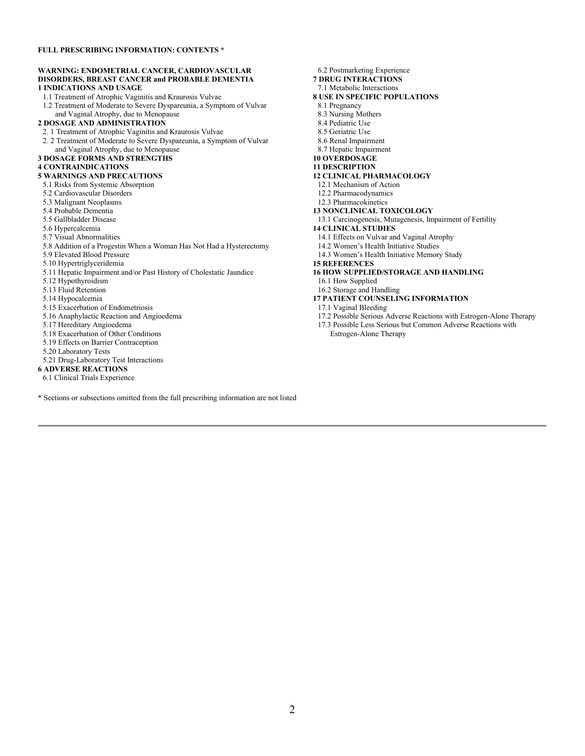#### **FULL PRESCRIBING INFORMATION: CONTENTS \***

#### **WARNING: ENDOMETRIAL CANCER, CARDIOVASCULAR DISORDERS, BREAST CANCER and PROBABLE DEMENTIA 1 INDICATIONS AND USAGE**

- 1.1 Treatment of Atrophic Vaginitis and Kraurosis Vulvae
- 1.2 Treatment of Moderate to Severe Dyspareunia, a Symptom of Vulvar and Vaginal Atrophy, due to Menopause
- **2 DOSAGE AND ADMINISTRATION**
- 2. 1 Treatment of Atrophic Vaginitis and Kraurosis Vulvae 2. 2 Treatment of Moderate to Severe Dyspareunia, a Symptom of Vulvar and Vaginal Atrophy, due to Menopause
- **3 DOSAGE FORMS AND STRENGTHS**

#### **4 CONTRAINDICATIONS**

#### **5 WARNINGS AND PRECAUTIONS**

- 5.1 Risks from Systemic Absorption
- 5.2 Cardiovascular Disorders
- 5.3 Malignant Neoplasms
- 5.4 Probable Dementia
- 5.5 Gallbladder Disease
- 5.6 Hypercalcemia
- 5.7 Visual Abnormalities
- 5.8 Addition of a Progestin When a Woman Has Not Had a Hysterectomy
- 5.9 Elevated Blood Pressure
- 5.10 Hypertriglyceridemia
- 5.11 Hepatic Impairment and/or Past History of Cholestatic Jaundice
- 5.12 Hypothyroidism
- 5.13 Fluid Retention
- 5.14 Hypocalcemia
- 5.15 Exacerbation of Endometriosis
- 5.16 Anaphylactic Reaction and Angioedema
- 5.17 Hereditary Angioedema
- 5.18 Exacerbation of Other Conditions
- 5.19 Effects on Barrier Contraception
- 5.20 Laboratory Tests
- 5.21 Drug-Laboratory Test Interactions

#### **6 ADVERSE REACTIONS**

6.1 Clinical Trials Experience

- 6.2 Postmarketing Experience **7 DRUG INTERACTIONS**  7.1 Metabolic Interactions **8 USE IN SPECIFIC POPULATIONS**  8.1 Pregnancy 8.3 Nursing Mothers 8.4 Pediatric Use 8.5 Geriatric Use 8.6 Renal Impairment 8.7 Hepatic Impairment **10 OVERDOSAGE 11 DESCRIPTION 12 CLINICAL PHARMACOLOGY**  12.1 Mechanism of Action 12.2 Pharmacodynamics 12.3 Pharmacokinetics **13 NONCLINICAL TOXICOLOGY**  13.1 Carcinogenesis, Mutagenesis, Impairment of Fertility **14 CLINICAL STUDIES**  14.1 Effects on Vulvar and Vaginal Atrophy 14.2 Women's Health Initiative Studies 14.3 Women's Health Initiative Memory Study **15 REFERENCES 16 HOW SUPPLIED/STORAGE AND HANDLING**  16.1 How Supplied 16.2 Storage and Handling **17 PATIENT COUNSELING INFORMATION**  17.1 Vaginal Bleeding
	- 17.2 Possible Serious Adverse Reactions with Estrogen-Alone Therapy
	- 17.3 Possible Less Serious but Common Adverse Reactions with Estrogen-Alone Therapy

\* Sections or subsections omitted from the full prescribing information are not listed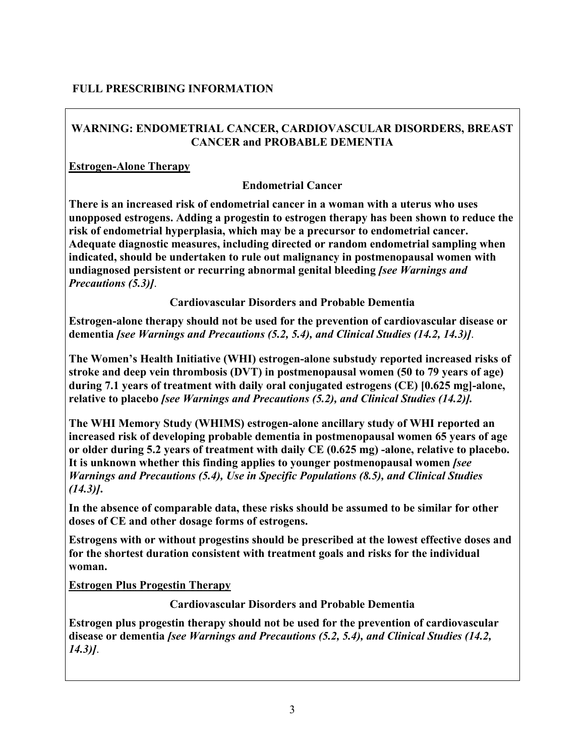# **FULL PRESCRIBING INFORMATION**

# **WARNING: ENDOMETRIAL CANCER, CARDIOVASCULAR DISORDERS, BREAST CANCER and PROBABLE DEMENTIA**

### **Estrogen-Alone Therapy**

### **Endometrial Cancer**

**There is an increased risk of endometrial cancer in a woman with a uterus who uses unopposed estrogens. Adding a progestin to estrogen therapy has been shown to reduce the risk of endometrial hyperplasia, which may be a precursor to endometrial cancer. Adequate diagnostic measures, including directed or random endometrial sampling when indicated, should be undertaken to rule out malignancy in postmenopausal women with undiagnosed persistent or recurring abnormal genital bleeding** *[see Warnings and Precautions (5.3)]*.

**Cardiovascular Disorders and Probable Dementia**

**Estrogen-alone therapy should not be used for the prevention of cardiovascular disease or dementia** *[see Warnings and Precautions (5.2, 5.4), and Clinical Studies (14.2, 14.3)]*.

**The Women's Health Initiative (WHI) estrogen-alone substudy reported increased risks of stroke and deep vein thrombosis (DVT) in postmenopausal women (50 to 79 years of age) during 7.1 years of treatment with daily oral conjugated estrogens (CE) [0.625 mg]-alone, relative to placebo** *[see Warnings and Precautions (5.2), and Clinical Studies (14.2)].*

**The WHI Memory Study (WHIMS) estrogen-alone ancillary study of WHI reported an increased risk of developing probable dementia in postmenopausal women 65 years of age or older during 5.2 years of treatment with daily CE (0.625 mg) -alone, relative to placebo. It is unknown whether this finding applies to younger postmenopausal women** *[see Warnings and Precautions (5.4), Use in Specific Populations (8.5), and Clinical Studies (14.3)]***.**

**In the absence of comparable data, these risks should be assumed to be similar for other doses of CE and other dosage forms of estrogens.**

**Estrogens with or without progestins should be prescribed at the lowest effective doses and for the shortest duration consistent with treatment goals and risks for the individual woman.**

**Estrogen Plus Progestin Therapy**

**Cardiovascular Disorders and Probable Dementia**

**Estrogen plus progestin therapy should not be used for the prevention of cardiovascular disease or dementia** *[see Warnings and Precautions (5.2, 5.4), and Clinical Studies (14.2, 14.3)]*.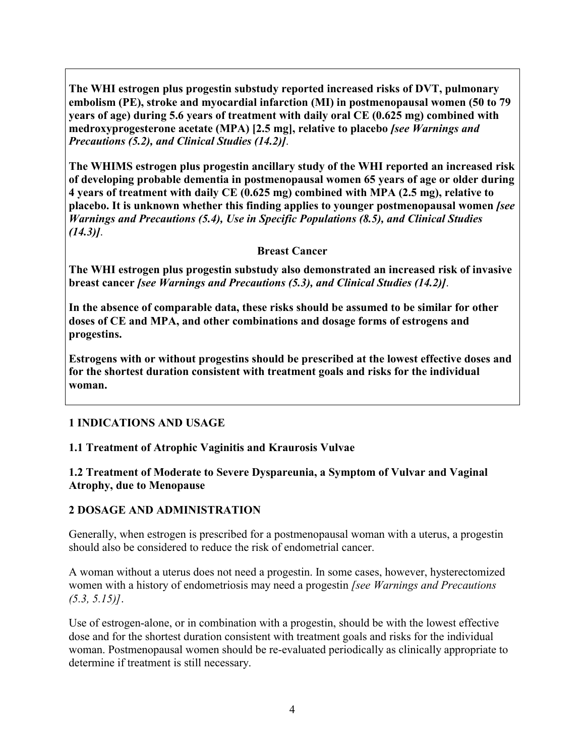**The WHI estrogen plus progestin substudy reported increased risks of DVT, pulmonary embolism (PE), stroke and myocardial infarction (MI) in postmenopausal women (50 to 79 years of age) during 5.6 years of treatment with daily oral CE (0.625 mg) combined with medroxyprogesterone acetate (MPA) [2.5 mg], relative to placebo** *[see Warnings and Precautions (5.2), and Clinical Studies (14.2)]*.

**The WHIMS estrogen plus progestin ancillary study of the WHI reported an increased risk of developing probable dementia in postmenopausal women 65 years of age or older during 4 years of treatment with daily CE (0.625 mg) combined with MPA (2.5 mg), relative to placebo. It is unknown whether this finding applies to younger postmenopausal women** *[see Warnings and Precautions (5.4), Use in Specific Populations (8.5), and Clinical Studies (14.3)]*.

#### **Breast Cancer**

**The WHI estrogen plus progestin substudy also demonstrated an increased risk of invasive breast cancer** *[see Warnings and Precautions (5.3), and Clinical Studies (14.2)]*.

**In the absence of comparable data, these risks should be assumed to be similar for other doses of CE and MPA, and other combinations and dosage forms of estrogens and progestins.**

**Estrogens with or without progestins should be prescribed at the lowest effective doses and for the shortest duration consistent with treatment goals and risks for the individual woman.**

### **1 INDICATIONS AND USAGE**

### **1.1 Treatment of Atrophic Vaginitis and Kraurosis Vulvae**

#### **1.2 Treatment of Moderate to Severe Dyspareunia, a Symptom of Vulvar and Vaginal Atrophy, due to Menopause**

### **2 DOSAGE AND ADMINISTRATION**

Generally, when estrogen is prescribed for a postmenopausal woman with a uterus, a progestin should also be considered to reduce the risk of endometrial cancer.

A woman without a uterus does not need a progestin. In some cases, however, hysterectomized women with a history of endometriosis may need a progestin *[see Warnings and Precautions (5.3, 5.15)]*.

Use of estrogen-alone, or in combination with a progestin, should be with the lowest effective dose and for the shortest duration consistent with treatment goals and risks for the individual woman. Postmenopausal women should be re-evaluated periodically as clinically appropriate to determine if treatment is still necessary.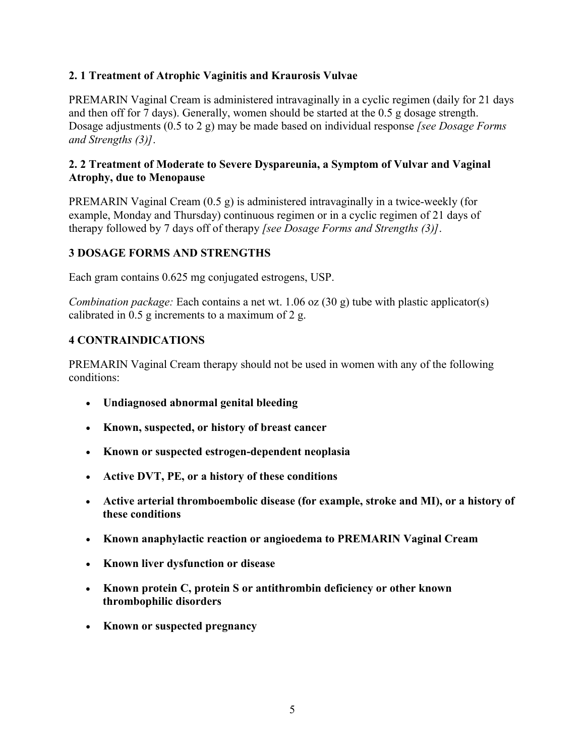# **2. 1 Treatment of Atrophic Vaginitis and Kraurosis Vulvae**

PREMARIN Vaginal Cream is administered intravaginally in a cyclic regimen (daily for 21 days and then off for 7 days). Generally, women should be started at the 0.5 g dosage strength. Dosage adjustments (0.5 to 2 g) may be made based on individual response *[see Dosage Forms and Strengths (3)]*.

### **2. 2 Treatment of Moderate to Severe Dyspareunia, a Symptom of Vulvar and Vaginal Atrophy, due to Menopause**

PREMARIN Vaginal Cream (0.5 g) is administered intravaginally in a twice-weekly (for example, Monday and Thursday) continuous regimen or in a cyclic regimen of 21 days of therapy followed by 7 days off of therapy *[see Dosage Forms and Strengths (3)]*.

### **3 DOSAGE FORMS AND STRENGTHS**

Each gram contains 0.625 mg conjugated estrogens, USP.

*Combination package:* Each contains a net wt. 1.06 oz (30 g) tube with plastic applicator(s) calibrated in 0.5 g increments to a maximum of 2 g.

# **4 CONTRAINDICATIONS**

PREMARIN Vaginal Cream therapy should not be used in women with any of the following conditions:

- **Undiagnosed abnormal genital bleeding**
- **Known, suspected, or history of breast cancer**
- **Known or suspected estrogen-dependent neoplasia**
- **Active DVT, PE, or a history of these conditions**
- **Active arterial thromboembolic disease (for example, stroke and MI), or a history of these conditions**
- **Known anaphylactic reaction or angioedema to PREMARIN Vaginal Cream**
- **Known liver dysfunction or disease**
- **Known protein C, protein S or antithrombin deficiency or other known thrombophilic disorders**
- **Known or suspected pregnancy**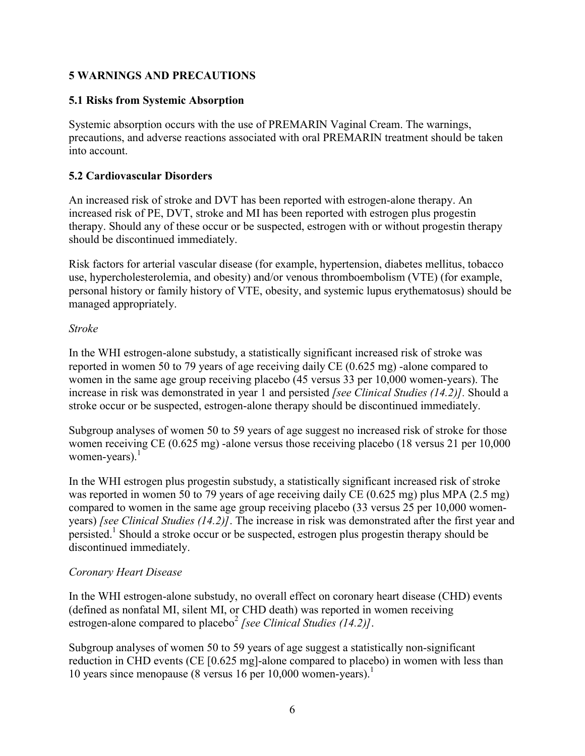# **5 WARNINGS AND PRECAUTIONS**

# **5.1 Risks from Systemic Absorption**

Systemic absorption occurs with the use of PREMARIN Vaginal Cream. The warnings, precautions, and adverse reactions associated with oral PREMARIN treatment should be taken into account.

# **5.2 Cardiovascular Disorders**

An increased risk of stroke and DVT has been reported with estrogen-alone therapy. An increased risk of PE, DVT, stroke and MI has been reported with estrogen plus progestin therapy. Should any of these occur or be suspected, estrogen with or without progestin therapy should be discontinued immediately.

Risk factors for arterial vascular disease (for example, hypertension, diabetes mellitus, tobacco use, hypercholesterolemia, and obesity) and/or venous thromboembolism (VTE) (for example, personal history or family history of VTE, obesity, and systemic lupus erythematosus) should be managed appropriately.

# *Stroke*

In the WHI estrogen-alone substudy, a statistically significant increased risk of stroke was reported in women 50 to 79 years of age receiving daily CE (0.625 mg) -alone compared to women in the same age group receiving placebo (45 versus 33 per 10,000 women-years). The increase in risk was demonstrated in year 1 and persisted *[see Clinical Studies (14.2)].* Should a stroke occur or be suspected, estrogen-alone therapy should be discontinued immediately.

Subgroup analyses of women 50 to 59 years of age suggest no increased risk of stroke for those women receiving CE (0.625 mg) -alone versus those receiving placebo (18 versus 21 per 10,000 women-years). $<sup>1</sup>$ </sup>

In the WHI estrogen plus progestin substudy, a statistically significant increased risk of stroke was reported in women 50 to 79 years of age receiving daily CE (0.625 mg) plus MPA (2.5 mg) compared to women in the same age group receiving placebo (33 versus 25 per 10,000 womenyears) *[see Clinical Studies (14.2)]*. The increase in risk was demonstrated after the first year and persisted.<sup>1</sup> Should a stroke occur or be suspected, estrogen plus progestin therapy should be discontinued immediately.

# *Coronary Heart Disease*

In the WHI estrogen-alone substudy, no overall effect on coronary heart disease (CHD) events (defined as nonfatal MI, silent MI, or CHD death) was reported in women receiving estrogen-alone compared to placebo<sup>2</sup> [see Clinical Studies (14.2)].

Subgroup analyses of women 50 to 59 years of age suggest a statistically non-significant reduction in CHD events (CE [0.625 mg]-alone compared to placebo) in women with less than 10 years since menopause (8 versus 16 per 10,000 women-years).<sup>1</sup>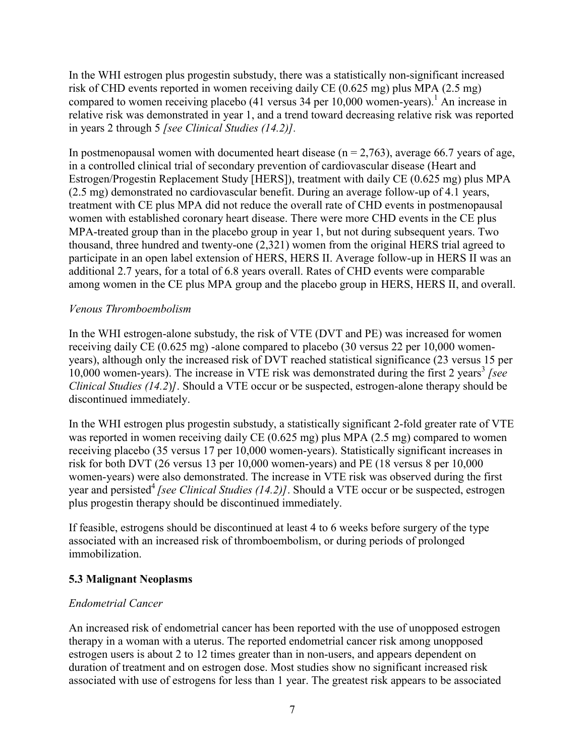In the WHI estrogen plus progestin substudy, there was a statistically non-significant increased risk of CHD events reported in women receiving daily CE (0.625 mg) plus MPA (2.5 mg) compared to women receiving placebo (41 versus 34 per  $10,000$  women-years).<sup>1</sup> An increase in relative risk was demonstrated in year 1, and a trend toward decreasing relative risk was reported in years 2 through 5 *[see Clinical Studies (14.2)].*

In postmenopausal women with documented heart disease ( $n = 2,763$ ), average 66.7 years of age, in a controlled clinical trial of secondary prevention of cardiovascular disease (Heart and Estrogen/Progestin Replacement Study [HERS]), treatment with daily CE (0.625 mg) plus MPA (2.5 mg) demonstrated no cardiovascular benefit. During an average follow-up of 4.1 years, treatment with CE plus MPA did not reduce the overall rate of CHD events in postmenopausal women with established coronary heart disease. There were more CHD events in the CE plus MPA-treated group than in the placebo group in year 1, but not during subsequent years. Two thousand, three hundred and twenty-one (2,321) women from the original HERS trial agreed to participate in an open label extension of HERS, HERS II. Average follow-up in HERS II was an additional 2.7 years, for a total of 6.8 years overall. Rates of CHD events were comparable among women in the CE plus MPA group and the placebo group in HERS, HERS II, and overall.

### *Venous Thromboembolism*

In the WHI estrogen-alone substudy, the risk of VTE (DVT and PE) was increased for women receiving daily CE (0.625 mg) -alone compared to placebo (30 versus 22 per 10,000 womenyears), although only the increased risk of DVT reached statistical significance (23 versus 15 per 10,000 women-years). The increase in VTE risk was demonstrated during the first 2 years<sup>3</sup> [see *Clinical Studies (14.2*)*]*. Should a VTE occur or be suspected, estrogen-alone therapy should be discontinued immediately.

In the WHI estrogen plus progestin substudy, a statistically significant 2-fold greater rate of VTE was reported in women receiving daily CE (0.625 mg) plus MPA (2.5 mg) compared to women receiving placebo (35 versus 17 per 10,000 women-years). Statistically significant increases in risk for both DVT (26 versus 13 per 10,000 women-years) and PE (18 versus 8 per 10,000 women-years) were also demonstrated. The increase in VTE risk was observed during the first year and persisted<sup>4</sup> [see Clinical Studies (14.2)]. Should a VTE occur or be suspected, estrogen plus progestin therapy should be discontinued immediately.

If feasible, estrogens should be discontinued at least 4 to 6 weeks before surgery of the type associated with an increased risk of thromboembolism, or during periods of prolonged immobilization.

### **5.3 Malignant Neoplasms**

### *Endometrial Cancer*

An increased risk of endometrial cancer has been reported with the use of unopposed estrogen therapy in a woman with a uterus. The reported endometrial cancer risk among unopposed estrogen users is about 2 to 12 times greater than in non-users, and appears dependent on duration of treatment and on estrogen dose. Most studies show no significant increased risk associated with use of estrogens for less than 1 year. The greatest risk appears to be associated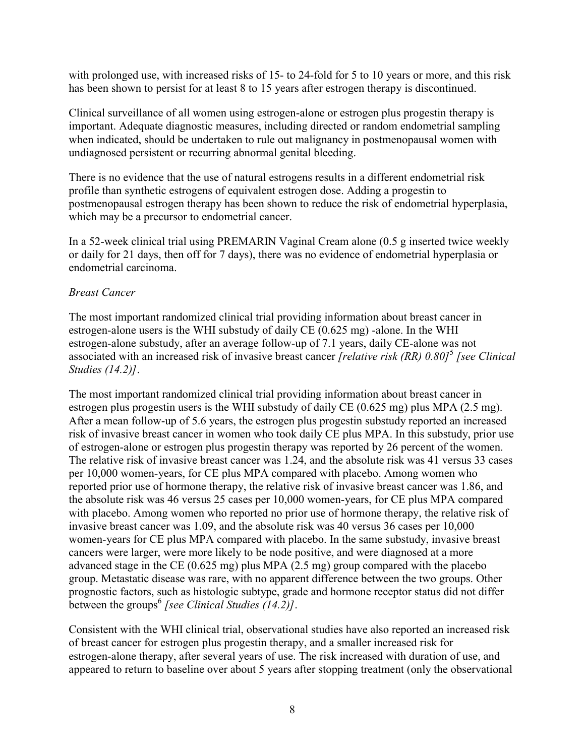with prolonged use, with increased risks of 15- to 24-fold for 5 to 10 years or more, and this risk has been shown to persist for at least 8 to 15 years after estrogen therapy is discontinued.

Clinical surveillance of all women using estrogen-alone or estrogen plus progestin therapy is important. Adequate diagnostic measures, including directed or random endometrial sampling when indicated, should be undertaken to rule out malignancy in postmenopausal women with undiagnosed persistent or recurring abnormal genital bleeding.

There is no evidence that the use of natural estrogens results in a different endometrial risk profile than synthetic estrogens of equivalent estrogen dose. Adding a progestin to postmenopausal estrogen therapy has been shown to reduce the risk of endometrial hyperplasia, which may be a precursor to endometrial cancer.

In a 52-week clinical trial using PREMARIN Vaginal Cream alone (0.5 g inserted twice weekly or daily for 21 days, then off for 7 days), there was no evidence of endometrial hyperplasia or endometrial carcinoma.

#### *Breast Cancer*

The most important randomized clinical trial providing information about breast cancer in estrogen-alone users is the WHI substudy of daily CE (0.625 mg) -alone. In the WHI estrogen-alone substudy, after an average follow-up of 7.1 years, daily CE-alone was not associated with an increased risk of invasive breast cancer *[relative risk (RR) 0.80]*<sup>5</sup> *[see Clinical Studies (14.2)]*.

The most important randomized clinical trial providing information about breast cancer in estrogen plus progestin users is the WHI substudy of daily CE (0.625 mg) plus MPA (2.5 mg). After a mean follow-up of 5.6 years, the estrogen plus progestin substudy reported an increased risk of invasive breast cancer in women who took daily CE plus MPA. In this substudy, prior use of estrogen-alone or estrogen plus progestin therapy was reported by 26 percent of the women. The relative risk of invasive breast cancer was 1.24, and the absolute risk was 41 versus 33 cases per 10,000 women-years, for CE plus MPA compared with placebo. Among women who reported prior use of hormone therapy, the relative risk of invasive breast cancer was 1.86, and the absolute risk was 46 versus 25 cases per 10,000 women-years, for CE plus MPA compared with placebo. Among women who reported no prior use of hormone therapy, the relative risk of invasive breast cancer was 1.09, and the absolute risk was 40 versus 36 cases per 10,000 women-years for CE plus MPA compared with placebo. In the same substudy, invasive breast cancers were larger, were more likely to be node positive, and were diagnosed at a more advanced stage in the CE (0.625 mg) plus MPA (2.5 mg) group compared with the placebo group. Metastatic disease was rare, with no apparent difference between the two groups. Other prognostic factors, such as histologic subtype, grade and hormone receptor status did not differ between the groups<sup>6</sup> [see Clinical Studies (14.2)].

Consistent with the WHI clinical trial, observational studies have also reported an increased risk of breast cancer for estrogen plus progestin therapy, and a smaller increased risk for estrogen-alone therapy, after several years of use. The risk increased with duration of use, and appeared to return to baseline over about 5 years after stopping treatment (only the observational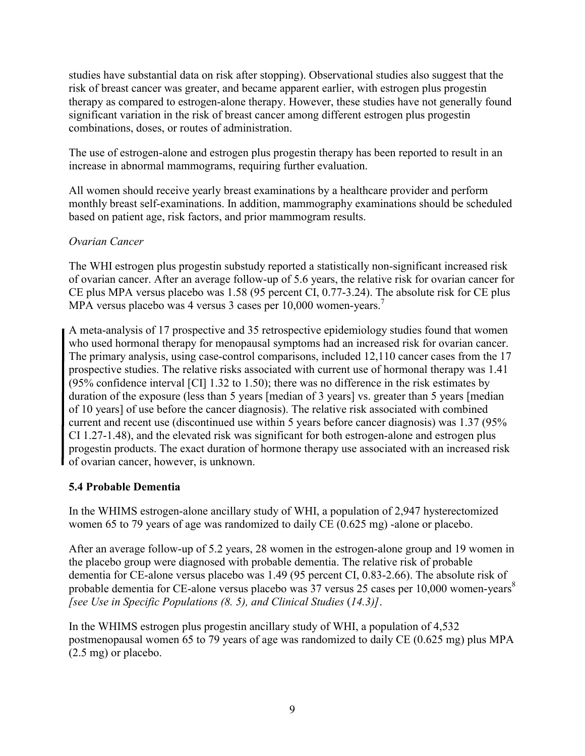studies have substantial data on risk after stopping). Observational studies also suggest that the risk of breast cancer was greater, and became apparent earlier, with estrogen plus progestin therapy as compared to estrogen-alone therapy. However, these studies have not generally found significant variation in the risk of breast cancer among different estrogen plus progestin combinations, doses, or routes of administration.

The use of estrogen-alone and estrogen plus progestin therapy has been reported to result in an increase in abnormal mammograms, requiring further evaluation.

All women should receive yearly breast examinations by a healthcare provider and perform monthly breast self-examinations. In addition, mammography examinations should be scheduled based on patient age, risk factors, and prior mammogram results.

### *Ovarian Cancer*

The WHI estrogen plus progestin substudy reported a statistically non-significant increased risk of ovarian cancer. After an average follow-up of 5.6 years, the relative risk for ovarian cancer for CE plus MPA versus placebo was 1.58 (95 percent CI, 0.77-3.24). The absolute risk for CE plus MPA versus placebo was 4 versus 3 cases per  $10,000$  women-years.<sup>7</sup>

A meta-analysis of 17 prospective and 35 retrospective epidemiology studies found that women who used hormonal therapy for menopausal symptoms had an increased risk for ovarian cancer. The primary analysis, using case-control comparisons, included 12,110 cancer cases from the 17 prospective studies. The relative risks associated with current use of hormonal therapy was 1.41 (95% confidence interval [CI] 1.32 to 1.50); there was no difference in the risk estimates by duration of the exposure (less than 5 years [median of 3 years] vs. greater than 5 years [median of 10 years] of use before the cancer diagnosis). The relative risk associated with combined current and recent use (discontinued use within 5 years before cancer diagnosis) was 1.37 (95% CI 1.27-1.48), and the elevated risk was significant for both estrogen-alone and estrogen plus progestin products. The exact duration of hormone therapy use associated with an increased risk of ovarian cancer, however, is unknown.

# **5.4 Probable Dementia**

In the WHIMS estrogen-alone ancillary study of WHI, a population of 2,947 hysterectomized women 65 to 79 years of age was randomized to daily CE (0.625 mg) -alone or placebo.

After an average follow-up of 5.2 years, 28 women in the estrogen-alone group and 19 women in the placebo group were diagnosed with probable dementia. The relative risk of probable dementia for CE-alone versus placebo was 1.49 (95 percent CI, 0.83-2.66). The absolute risk of probable dementia for CE-alone versus placebo was 37 versus 25 cases per  $10,000$  women-years<sup>8</sup> *[see Use in Specific Populations (8. 5), and Clinical Studies* (*14.3)]*.

In the WHIMS estrogen plus progestin ancillary study of WHI, a population of 4,532 postmenopausal women 65 to 79 years of age was randomized to daily CE (0.625 mg) plus MPA (2.5 mg) or placebo.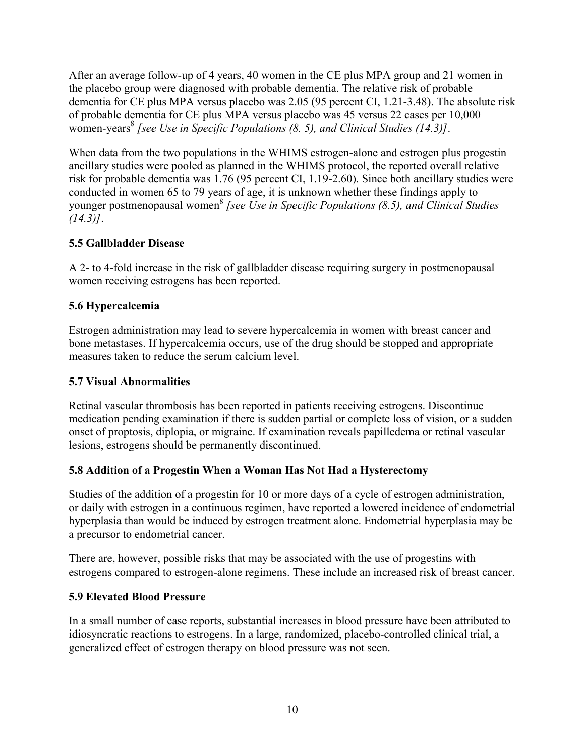After an average follow-up of 4 years, 40 women in the CE plus MPA group and 21 women in the placebo group were diagnosed with probable dementia. The relative risk of probable dementia for CE plus MPA versus placebo was 2.05 (95 percent CI, 1.21-3.48). The absolute risk of probable dementia for CE plus MPA versus placebo was 45 versus 22 cases per 10,000 women-years<sup>8</sup> [see Use in Specific Populations (8. 5), and Clinical Studies (14.3)].

When data from the two populations in the WHIMS estrogen-alone and estrogen plus progestin ancillary studies were pooled as planned in the WHIMS protocol, the reported overall relative risk for probable dementia was 1.76 (95 percent CI, 1.19-2.60). Since both ancillary studies were conducted in women 65 to 79 years of age, it is unknown whether these findings apply to younger postmenopausal women<sup>8</sup> [see Use in Specific Populations (8.5), and Clinical Studies *(14.3)]*.

# **5.5 Gallbladder Disease**

A 2- to 4-fold increase in the risk of gallbladder disease requiring surgery in postmenopausal women receiving estrogens has been reported.

# **5.6 Hypercalcemia**

Estrogen administration may lead to severe hypercalcemia in women with breast cancer and bone metastases. If hypercalcemia occurs, use of the drug should be stopped and appropriate measures taken to reduce the serum calcium level.

# **5.7 Visual Abnormalities**

Retinal vascular thrombosis has been reported in patients receiving estrogens. Discontinue medication pending examination if there is sudden partial or complete loss of vision, or a sudden onset of proptosis, diplopia, or migraine. If examination reveals papilledema or retinal vascular lesions, estrogens should be permanently discontinued.

# **5.8 Addition of a Progestin When a Woman Has Not Had a Hysterectomy**

Studies of the addition of a progestin for 10 or more days of a cycle of estrogen administration, or daily with estrogen in a continuous regimen, have reported a lowered incidence of endometrial hyperplasia than would be induced by estrogen treatment alone. Endometrial hyperplasia may be a precursor to endometrial cancer.

There are, however, possible risks that may be associated with the use of progestins with estrogens compared to estrogen-alone regimens. These include an increased risk of breast cancer.

# **5.9 Elevated Blood Pressure**

In a small number of case reports, substantial increases in blood pressure have been attributed to idiosyncratic reactions to estrogens. In a large, randomized, placebo-controlled clinical trial, a generalized effect of estrogen therapy on blood pressure was not seen.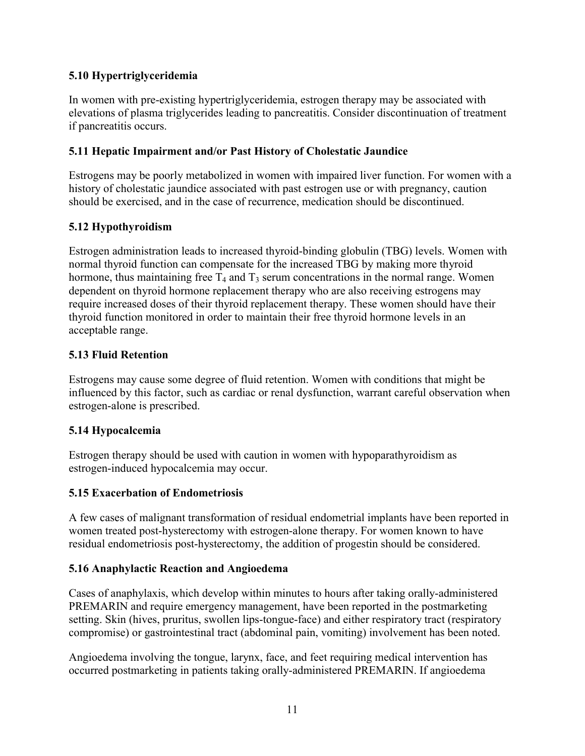# **5.10 Hypertriglyceridemia**

In women with pre-existing hypertriglyceridemia, estrogen therapy may be associated with elevations of plasma triglycerides leading to pancreatitis. Consider discontinuation of treatment if pancreatitis occurs.

### **5.11 Hepatic Impairment and/or Past History of Cholestatic Jaundice**

Estrogens may be poorly metabolized in women with impaired liver function. For women with a history of cholestatic jaundice associated with past estrogen use or with pregnancy, caution should be exercised, and in the case of recurrence, medication should be discontinued.

# **5.12 Hypothyroidism**

Estrogen administration leads to increased thyroid-binding globulin (TBG) levels. Women with normal thyroid function can compensate for the increased TBG by making more thyroid hormone, thus maintaining free  $T_4$  and  $T_3$  serum concentrations in the normal range. Women dependent on thyroid hormone replacement therapy who are also receiving estrogens may require increased doses of their thyroid replacement therapy. These women should have their thyroid function monitored in order to maintain their free thyroid hormone levels in an acceptable range.

# **5.13 Fluid Retention**

Estrogens may cause some degree of fluid retention. Women with conditions that might be influenced by this factor, such as cardiac or renal dysfunction, warrant careful observation when estrogen-alone is prescribed.

# **5.14 Hypocalcemia**

Estrogen therapy should be used with caution in women with hypoparathyroidism as estrogen-induced hypocalcemia may occur.

### **5.15 Exacerbation of Endometriosis**

A few cases of malignant transformation of residual endometrial implants have been reported in women treated post-hysterectomy with estrogen-alone therapy. For women known to have residual endometriosis post-hysterectomy, the addition of progestin should be considered.

### **5.16 Anaphylactic Reaction and Angioedema**

Cases of anaphylaxis, which develop within minutes to hours after taking orally-administered PREMARIN and require emergency management, have been reported in the postmarketing setting. Skin (hives, pruritus, swollen lips-tongue-face) and either respiratory tract (respiratory compromise) or gastrointestinal tract (abdominal pain, vomiting) involvement has been noted.

Angioedema involving the tongue, larynx, face, and feet requiring medical intervention has occurred postmarketing in patients taking orally-administered PREMARIN. If angioedema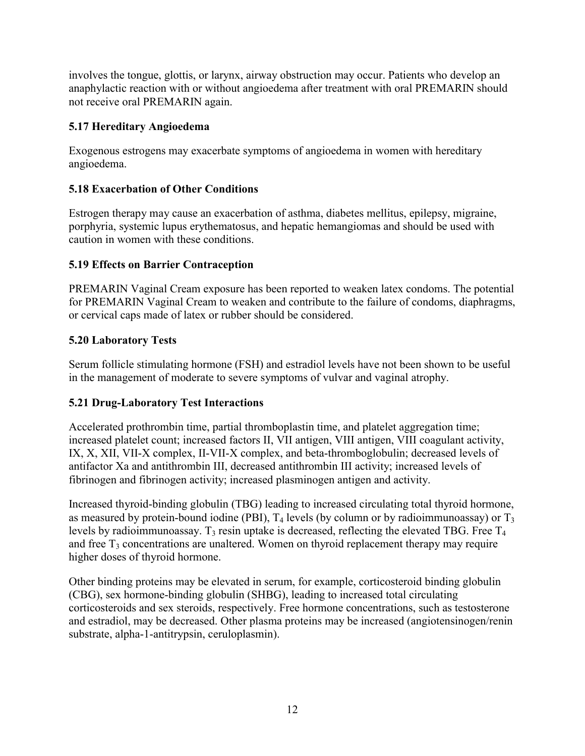involves the tongue, glottis, or larynx, airway obstruction may occur. Patients who develop an anaphylactic reaction with or without angioedema after treatment with oral PREMARIN should not receive oral PREMARIN again.

# **5.17 Hereditary Angioedema**

Exogenous estrogens may exacerbate symptoms of angioedema in women with hereditary angioedema.

# **5.18 Exacerbation of Other Conditions**

Estrogen therapy may cause an exacerbation of asthma, diabetes mellitus, epilepsy, migraine, porphyria, systemic lupus erythematosus, and hepatic hemangiomas and should be used with caution in women with these conditions.

# **5.19 Effects on Barrier Contraception**

PREMARIN Vaginal Cream exposure has been reported to weaken latex condoms. The potential for PREMARIN Vaginal Cream to weaken and contribute to the failure of condoms, diaphragms, or cervical caps made of latex or rubber should be considered.

# **5.20 Laboratory Tests**

Serum follicle stimulating hormone (FSH) and estradiol levels have not been shown to be useful in the management of moderate to severe symptoms of vulvar and vaginal atrophy.

# **5.21 Drug-Laboratory Test Interactions**

Accelerated prothrombin time, partial thromboplastin time, and platelet aggregation time; increased platelet count; increased factors II, VII antigen, VIII antigen, VIII coagulant activity, IX, X, XII, VII-X complex, II-VII-X complex, and beta-thromboglobulin; decreased levels of antifactor Xa and antithrombin III, decreased antithrombin III activity; increased levels of fibrinogen and fibrinogen activity; increased plasminogen antigen and activity.

Increased thyroid-binding globulin (TBG) leading to increased circulating total thyroid hormone, as measured by protein-bound iodine (PBI),  $T_4$  levels (by column or by radioimmunoassay) or  $T_3$ levels by radioimmunoassay.  $T_3$  resin uptake is decreased, reflecting the elevated TBG. Free  $T_4$ and free  $T_3$  concentrations are unaltered. Women on thyroid replacement therapy may require higher doses of thyroid hormone.

Other binding proteins may be elevated in serum, for example, corticosteroid binding globulin (CBG), sex hormone-binding globulin (SHBG), leading to increased total circulating corticosteroids and sex steroids, respectively. Free hormone concentrations, such as testosterone and estradiol, may be decreased. Other plasma proteins may be increased (angiotensinogen/renin substrate, alpha-1-antitrypsin, ceruloplasmin).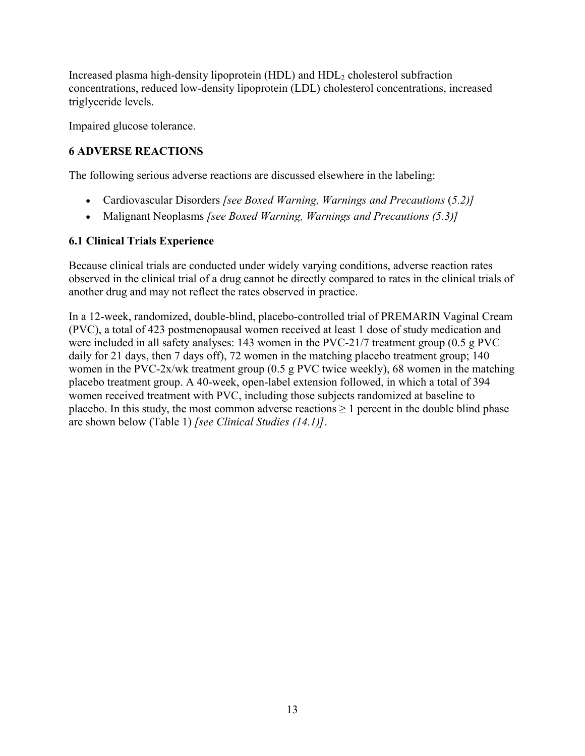Increased plasma high-density lipoprotein  $(HDL)$  and  $HDL<sub>2</sub>$  cholesterol subfraction concentrations, reduced low-density lipoprotein (LDL) cholesterol concentrations, increased triglyceride levels.

Impaired glucose tolerance.

# **6 ADVERSE REACTIONS**

The following serious adverse reactions are discussed elsewhere in the labeling:

- Cardiovascular Disorders *[see Boxed Warning, Warnings and Precautions* (*5.2)]*
- Malignant Neoplasms *[see Boxed Warning, Warnings and Precautions (5.3)]*

# **6.1 Clinical Trials Experience**

Because clinical trials are conducted under widely varying conditions, adverse reaction rates observed in the clinical trial of a drug cannot be directly compared to rates in the clinical trials of another drug and may not reflect the rates observed in practice.

In a 12-week, randomized, double-blind, placebo-controlled trial of PREMARIN Vaginal Cream (PVC), a total of 423 postmenopausal women received at least 1 dose of study medication and were included in all safety analyses: 143 women in the PVC-21/7 treatment group (0.5 g PVC daily for 21 days, then 7 days off), 72 women in the matching placebo treatment group; 140 women in the PVC-2x/wk treatment group (0.5 g PVC twice weekly), 68 women in the matching placebo treatment group. A 40-week, open-label extension followed, in which a total of 394 women received treatment with PVC, including those subjects randomized at baseline to placebo. In this study, the most common adverse reactions  $\geq 1$  percent in the double blind phase are shown below (Table 1) *[see Clinical Studies (14.1)]*.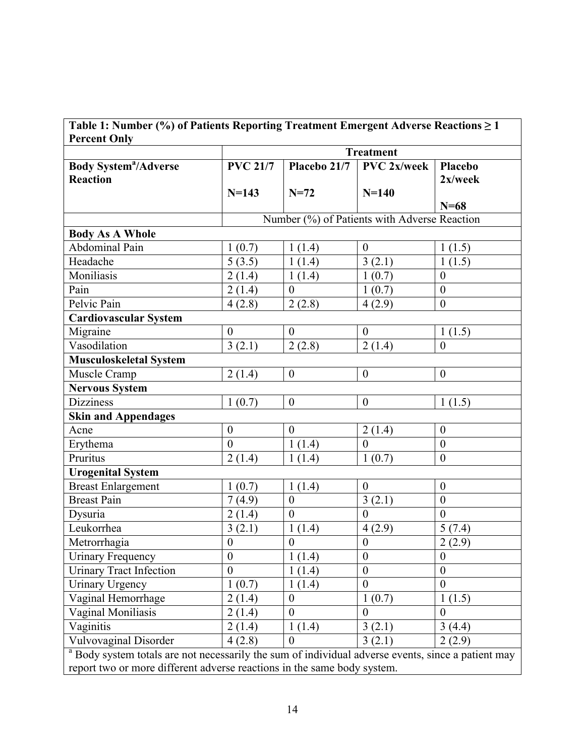| Table 1: Number (%) of Patients Reporting Treatment Emergent Adverse Reactions $\geq 1$                       |                  |                  |                                              |                      |
|---------------------------------------------------------------------------------------------------------------|------------------|------------------|----------------------------------------------|----------------------|
| <b>Percent Only</b>                                                                                           |                  |                  |                                              |                      |
|                                                                                                               | <b>Treatment</b> |                  |                                              |                      |
| <b>Body System<sup>a</sup>/Adverse</b>                                                                        | <b>PVC 21/7</b>  | Placebo 21/7     | <b>PVC 2x/week</b>                           | Placebo              |
| <b>Reaction</b>                                                                                               |                  |                  |                                              | 2x/week              |
|                                                                                                               | $N = 143$        | $N=72$           | $N = 140$                                    |                      |
|                                                                                                               |                  |                  |                                              | $N=68$               |
|                                                                                                               |                  |                  | Number (%) of Patients with Adverse Reaction |                      |
| <b>Body As A Whole</b>                                                                                        |                  |                  |                                              |                      |
| <b>Abdominal Pain</b>                                                                                         | 1(0.7)           | 1(1.4)           | $\boldsymbol{0}$                             | 1(1.5)               |
| Headache                                                                                                      | 5(3.5)           | 1(1.4)           | 3(2.1)                                       | 1(1.5)               |
| Moniliasis                                                                                                    | 2(1.4)           | 1(1.4)           | 1(0.7)                                       | $\mathbf{0}$         |
| Pain                                                                                                          | 2(1.4)           | $\overline{0}$   | 1(0.7)                                       | $\mathbf{0}$         |
| Pelvic Pain                                                                                                   | 4(2.8)           | 2(2.8)           | 4(2.9)                                       | $\boldsymbol{0}$     |
| <b>Cardiovascular System</b>                                                                                  |                  |                  |                                              |                      |
| Migraine                                                                                                      | $\boldsymbol{0}$ | $\boldsymbol{0}$ | $\boldsymbol{0}$                             | 1(1.5)               |
| Vasodilation                                                                                                  | 3(2.1)           | 2(2.8)           | 2(1.4)                                       | $\overline{0}$       |
| <b>Musculoskeletal System</b>                                                                                 |                  |                  |                                              |                      |
| Muscle Cramp                                                                                                  | 2(1.4)           | $\boldsymbol{0}$ | $\overline{0}$                               | $\boldsymbol{0}$     |
| <b>Nervous System</b>                                                                                         |                  |                  |                                              |                      |
| <b>Dizziness</b>                                                                                              | 1(0.7)           | $\boldsymbol{0}$ | $\boldsymbol{0}$                             | 1(1.5)               |
| <b>Skin and Appendages</b>                                                                                    |                  |                  |                                              |                      |
| Acne                                                                                                          | $\boldsymbol{0}$ | $\overline{0}$   | 2(1.4)                                       | $\boldsymbol{0}$     |
| Erythema                                                                                                      | $\overline{0}$   | 1(1.4)           | $\mathbf{0}$                                 | $\mathbf{0}$         |
| Pruritus                                                                                                      | 2(1.4)           | 1(1.4)           | 1(0.7)                                       | $\mathbf{0}$         |
| <b>Urogenital System</b>                                                                                      |                  |                  |                                              |                      |
| <b>Breast Enlargement</b>                                                                                     | 1(0.7)           | 1(1.4)           | $\boldsymbol{0}$                             | $\boldsymbol{0}$     |
| <b>Breast Pain</b>                                                                                            | 7(4.9)           | $\overline{0}$   | 3(2.1)                                       | $\mathbf{0}$         |
| Dysuria                                                                                                       | 2(1.4)           | $\boldsymbol{0}$ | $\overline{0}$                               | $\mathbf{0}$         |
| Leukorrhea                                                                                                    | 3(2.1)           | 1(1.4)           | 4(2.9)                                       | 5(7.4)               |
| Metrorrhagia                                                                                                  | $\overline{0}$   | $\overline{0}$   | $\overline{0}$                               | $\overline{2}$ (2.9) |
| <b>Urinary Frequency</b>                                                                                      | $\overline{0}$   | 1(1.4)           | $\overline{0}$                               | $\theta$             |
| Urinary Tract Infection                                                                                       | $\overline{0}$   | (1.4)<br>1       | $\boldsymbol{0}$                             | $\boldsymbol{0}$     |
| <b>Urinary Urgency</b>                                                                                        | 1(0.7)           | (1.4)<br>1       | $\boldsymbol{0}$                             | $\boldsymbol{0}$     |
| Vaginal Hemorrhage                                                                                            | 2(1.4)           | $\overline{0}$   | 1(0.7)                                       | 1(1.5)               |
| Vaginal Moniliasis                                                                                            | 2(1.4)           | $\boldsymbol{0}$ | $\theta$                                     | $\theta$             |
| Vaginitis                                                                                                     | 2(1.4)           | 1(1.4)           | 3(2.1)                                       | 3(4.4)               |
| Vulvovaginal Disorder                                                                                         | 4(2.8)           | $\theta$         | 3(2.1)                                       | 2(2.9)               |
| <sup>a</sup> Body system totals are not necessarily the sum of individual adverse events, since a patient may |                  |                  |                                              |                      |
| report two or more different adverse reactions in the same body system.                                       |                  |                  |                                              |                      |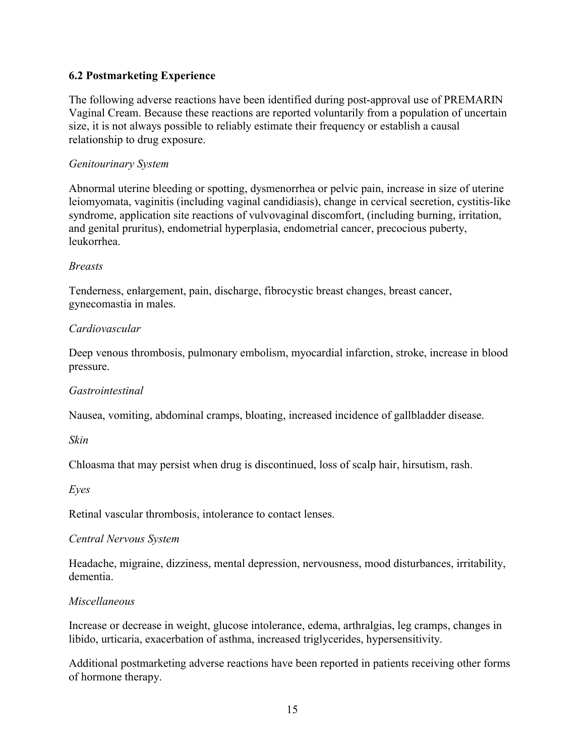### **6.2 Postmarketing Experience**

The following adverse reactions have been identified during post-approval use of PREMARIN Vaginal Cream. Because these reactions are reported voluntarily from a population of uncertain size, it is not always possible to reliably estimate their frequency or establish a causal relationship to drug exposure.

#### *Genitourinary System*

Abnormal uterine bleeding or spotting, dysmenorrhea or pelvic pain, increase in size of uterine leiomyomata, vaginitis (including vaginal candidiasis), change in cervical secretion, cystitis-like syndrome, application site reactions of vulvovaginal discomfort, (including burning, irritation, and genital pruritus), endometrial hyperplasia, endometrial cancer, precocious puberty, leukorrhea.

#### *Breasts*

Tenderness, enlargement, pain, discharge, fibrocystic breast changes, breast cancer, gynecomastia in males.

#### *Cardiovascular*

Deep venous thrombosis, pulmonary embolism, myocardial infarction, stroke, increase in blood pressure.

#### *Gastrointestinal*

Nausea, vomiting, abdominal cramps, bloating, increased incidence of gallbladder disease.

*Skin*

Chloasma that may persist when drug is discontinued, loss of scalp hair, hirsutism, rash.

*Eyes*

Retinal vascular thrombosis, intolerance to contact lenses.

#### *Central Nervous System*

Headache, migraine, dizziness, mental depression, nervousness, mood disturbances, irritability, dementia.

#### *Miscellaneous*

Increase or decrease in weight, glucose intolerance, edema, arthralgias, leg cramps, changes in libido, urticaria, exacerbation of asthma, increased triglycerides, hypersensitivity.

Additional postmarketing adverse reactions have been reported in patients receiving other forms of hormone therapy.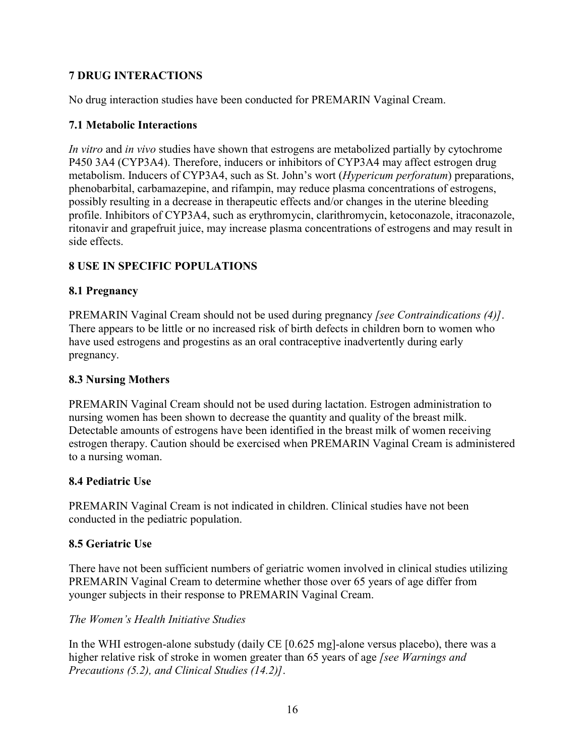# **7 DRUG INTERACTIONS**

No drug interaction studies have been conducted for PREMARIN Vaginal Cream.

# **7.1 Metabolic Interactions**

*In vitro* and *in vivo* studies have shown that estrogens are metabolized partially by cytochrome P450 3A4 (CYP3A4). Therefore, inducers or inhibitors of CYP3A4 may affect estrogen drug metabolism. Inducers of CYP3A4, such as St. John's wort (*Hypericum perforatum*) preparations, phenobarbital, carbamazepine, and rifampin, may reduce plasma concentrations of estrogens, possibly resulting in a decrease in therapeutic effects and/or changes in the uterine bleeding profile. Inhibitors of CYP3A4, such as erythromycin, clarithromycin, ketoconazole, itraconazole, ritonavir and grapefruit juice, may increase plasma concentrations of estrogens and may result in side effects.

# **8 USE IN SPECIFIC POPULATIONS**

# **8.1 Pregnancy**

PREMARIN Vaginal Cream should not be used during pregnancy *[see Contraindications (4)]*. There appears to be little or no increased risk of birth defects in children born to women who have used estrogens and progestins as an oral contraceptive inadvertently during early pregnancy.

### **8.3 Nursing Mothers**

PREMARIN Vaginal Cream should not be used during lactation. Estrogen administration to nursing women has been shown to decrease the quantity and quality of the breast milk. Detectable amounts of estrogens have been identified in the breast milk of women receiving estrogen therapy. Caution should be exercised when PREMARIN Vaginal Cream is administered to a nursing woman.

### **8.4 Pediatric Use**

PREMARIN Vaginal Cream is not indicated in children. Clinical studies have not been conducted in the pediatric population.

### **8.5 Geriatric Use**

There have not been sufficient numbers of geriatric women involved in clinical studies utilizing PREMARIN Vaginal Cream to determine whether those over 65 years of age differ from younger subjects in their response to PREMARIN Vaginal Cream.

### *The Women's Health Initiative Studies*

In the WHI estrogen-alone substudy (daily CE [0.625 mg]-alone versus placebo), there was a higher relative risk of stroke in women greater than 65 years of age *[see Warnings and Precautions (5.2), and Clinical Studies (14.2)]*.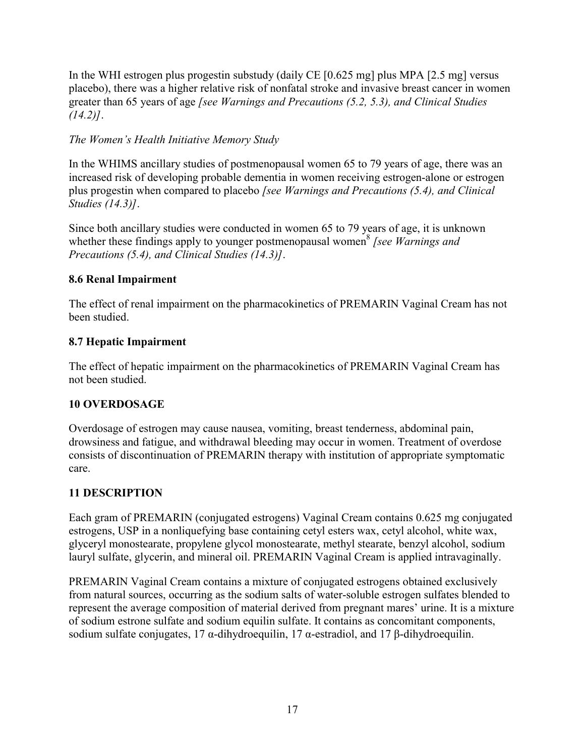In the WHI estrogen plus progestin substudy (daily CE [0.625 mg] plus MPA [2.5 mg] versus placebo), there was a higher relative risk of nonfatal stroke and invasive breast cancer in women greater than 65 years of age *[see Warnings and Precautions (5.2, 5.3), and Clinical Studies (14.2)]*.

# *The Women's Health Initiative Memory Study*

In the WHIMS ancillary studies of postmenopausal women 65 to 79 years of age, there was an increased risk of developing probable dementia in women receiving estrogen-alone or estrogen plus progestin when compared to placebo *[see Warnings and Precautions (5.4), and Clinical Studies (14.3)]*.

Since both ancillary studies were conducted in women 65 to 79 years of age, it is unknown whether these findings apply to younger postmenopausal women<sup>8</sup> [see Warnings and *Precautions (5.4), and Clinical Studies (14.3)]*.

# **8.6 Renal Impairment**

The effect of renal impairment on the pharmacokinetics of PREMARIN Vaginal Cream has not been studied.

# **8.7 Hepatic Impairment**

The effect of hepatic impairment on the pharmacokinetics of PREMARIN Vaginal Cream has not been studied.

# **10 OVERDOSAGE**

Overdosage of estrogen may cause nausea, vomiting, breast tenderness, abdominal pain, drowsiness and fatigue, and withdrawal bleeding may occur in women. Treatment of overdose consists of discontinuation of PREMARIN therapy with institution of appropriate symptomatic care.

# **11 DESCRIPTION**

Each gram of PREMARIN (conjugated estrogens) Vaginal Cream contains 0.625 mg conjugated estrogens, USP in a nonliquefying base containing cetyl esters wax, cetyl alcohol, white wax, glyceryl monostearate, propylene glycol monostearate, methyl stearate, benzyl alcohol, sodium lauryl sulfate, glycerin, and mineral oil. PREMARIN Vaginal Cream is applied intravaginally.

PREMARIN Vaginal Cream contains a mixture of conjugated estrogens obtained exclusively from natural sources, occurring as the sodium salts of water-soluble estrogen sulfates blended to represent the average composition of material derived from pregnant mares' urine. It is a mixture of sodium estrone sulfate and sodium equilin sulfate. It contains as concomitant components, sodium sulfate conjugates, 17 α-dihydroequilin, 17 α-estradiol, and 17 β-dihydroequilin.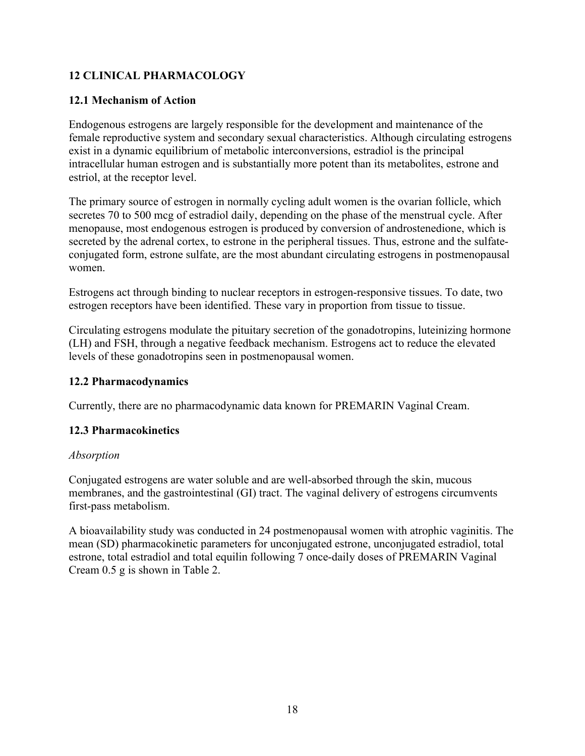# **12 CLINICAL PHARMACOLOGY**

# **12.1 Mechanism of Action**

Endogenous estrogens are largely responsible for the development and maintenance of the female reproductive system and secondary sexual characteristics. Although circulating estrogens exist in a dynamic equilibrium of metabolic interconversions, estradiol is the principal intracellular human estrogen and is substantially more potent than its metabolites, estrone and estriol, at the receptor level.

The primary source of estrogen in normally cycling adult women is the ovarian follicle, which secretes 70 to 500 mcg of estradiol daily, depending on the phase of the menstrual cycle. After menopause, most endogenous estrogen is produced by conversion of androstenedione, which is secreted by the adrenal cortex, to estrone in the peripheral tissues. Thus, estrone and the sulfateconjugated form, estrone sulfate, are the most abundant circulating estrogens in postmenopausal women.

Estrogens act through binding to nuclear receptors in estrogen-responsive tissues. To date, two estrogen receptors have been identified. These vary in proportion from tissue to tissue.

Circulating estrogens modulate the pituitary secretion of the gonadotropins, luteinizing hormone (LH) and FSH, through a negative feedback mechanism. Estrogens act to reduce the elevated levels of these gonadotropins seen in postmenopausal women.

### **12.2 Pharmacodynamics**

Currently, there are no pharmacodynamic data known for PREMARIN Vaginal Cream.

# **12.3 Pharmacokinetics**

### *Absorption*

Conjugated estrogens are water soluble and are well-absorbed through the skin, mucous membranes, and the gastrointestinal (GI) tract. The vaginal delivery of estrogens circumvents first-pass metabolism.

A bioavailability study was conducted in 24 postmenopausal women with atrophic vaginitis. The mean (SD) pharmacokinetic parameters for unconjugated estrone, unconjugated estradiol, total estrone, total estradiol and total equilin following 7 once-daily doses of PREMARIN Vaginal Cream 0.5 g is shown in Table 2.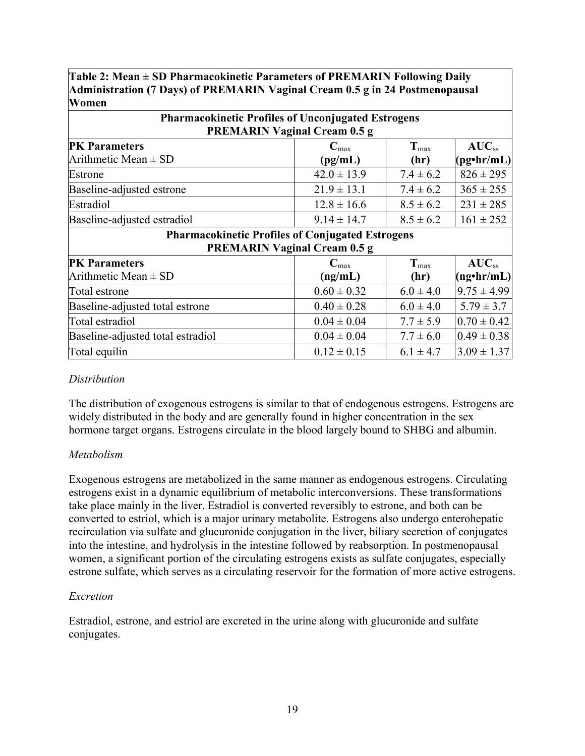| Women                                                     |                  |                  |                   |
|-----------------------------------------------------------|------------------|------------------|-------------------|
| <b>Pharmacokinetic Profiles of Unconjugated Estrogens</b> |                  |                  |                   |
| <b>PREMARIN Vaginal Cream 0.5 g</b>                       |                  |                  |                   |
| <b>PK Parameters</b>                                      | $C_{\text{max}}$ | $T_{\text{max}}$ | $AUC_{ss}$        |
| Arithmetic Mean $\pm$ SD                                  | (pg/mL)          | (hr)             | $(pg\cdot hr/mL)$ |
| Estrone                                                   | $42.0 \pm 13.9$  | $7.4 \pm 6.2$    | $826 \pm 295$     |
| Baseline-adjusted estrone                                 | $21.9 \pm 13.1$  | $7.4 \pm 6.2$    | $365 \pm 255$     |
| Estradiol                                                 | $12.8 \pm 16.6$  | $8.5 \pm 6.2$    | $231 \pm 285$     |
| Baseline-adjusted estradiol                               | $9.14 \pm 14.7$  | $8.5 \pm 6.2$    | $161 \pm 252$     |
| <b>Pharmacokinetic Profiles of Conjugated Estrogens</b>   |                  |                  |                   |
| <b>PREMARIN Vaginal Cream 0.5 g</b>                       |                  |                  |                   |
| <b>PK Parameters</b>                                      | $C_{\text{max}}$ | $T_{max}$        | $AUC_{ss}$        |
| Arithmetic Mean $\pm$ SD                                  | (ng/mL)          | (hr)             | $(ng\cdot hr/mL)$ |
| Total estrone                                             | $0.60 \pm 0.32$  | $6.0 \pm 4.0$    | $9.75 \pm 4.99$   |
| Baseline-adjusted total estrone                           | $0.40 \pm 0.28$  | $6.0 \pm 4.0$    | $5.79 \pm 3.7$    |
| Total estradiol                                           | $0.04 \pm 0.04$  | $7.7 \pm 5.9$    | $0.70 \pm 0.42$   |
| Baseline-adjusted total estradiol                         | $0.04 \pm 0.04$  | $7.7 \pm 6.0$    | $0.49 \pm 0.38$   |
| Total equilin                                             | $0.12 \pm 0.15$  | $6.1 \pm 4.7$    | $3.09 \pm 1.37$   |

**Table 2: Mean ± SD Pharmacokinetic Parameters of PREMARIN Following Daily Administration (7 Days) of PREMARIN Vaginal Cream 0.5 g in 24 Postmenopausal** 

#### *Distribution*

The distribution of exogenous estrogens is similar to that of endogenous estrogens. Estrogens are widely distributed in the body and are generally found in higher concentration in the sex hormone target organs. Estrogens circulate in the blood largely bound to SHBG and albumin.

#### *Metabolism*

Exogenous estrogens are metabolized in the same manner as endogenous estrogens. Circulating estrogens exist in a dynamic equilibrium of metabolic interconversions. These transformations take place mainly in the liver. Estradiol is converted reversibly to estrone, and both can be converted to estriol, which is a major urinary metabolite. Estrogens also undergo enterohepatic recirculation via sulfate and glucuronide conjugation in the liver, biliary secretion of conjugates into the intestine, and hydrolysis in the intestine followed by reabsorption. In postmenopausal women, a significant portion of the circulating estrogens exists as sulfate conjugates, especially estrone sulfate, which serves as a circulating reservoir for the formation of more active estrogens.

### *Excretion*

Estradiol, estrone, and estriol are excreted in the urine along with glucuronide and sulfate conjugates.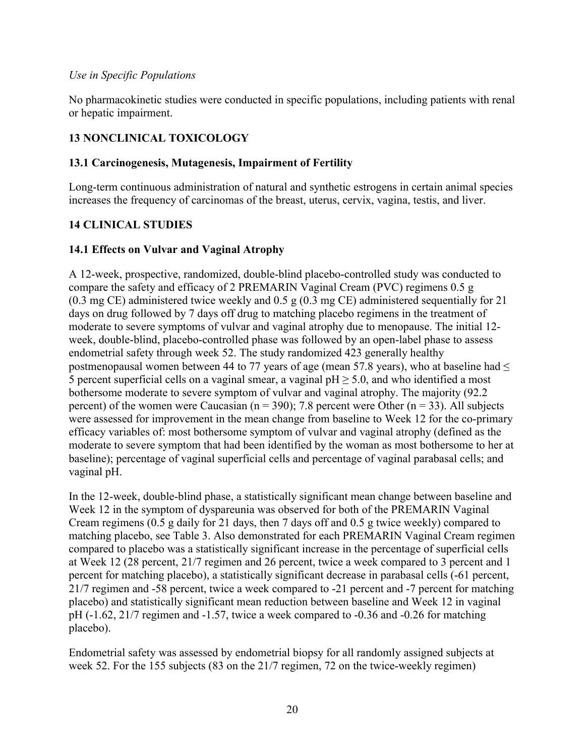#### *Use in Specific Populations*

No pharmacokinetic studies were conducted in specific populations, including patients with renal or hepatic impairment.

# **13 NONCLINICAL TOXICOLOGY**

#### **13.1 Carcinogenesis, Mutagenesis, Impairment of Fertility**

Long-term continuous administration of natural and synthetic estrogens in certain animal species increases the frequency of carcinomas of the breast, uterus, cervix, vagina, testis, and liver.

# **14 CLINICAL STUDIES**

### **14.1 Effects on Vulvar and Vaginal Atrophy**

A 12-week, prospective, randomized, double-blind placebo-controlled study was conducted to compare the safety and efficacy of 2 PREMARIN Vaginal Cream (PVC) regimens 0.5 g (0.3 mg CE) administered twice weekly and 0.5 g (0.3 mg CE) administered sequentially for 21 days on drug followed by 7 days off drug to matching placebo regimens in the treatment of moderate to severe symptoms of vulvar and vaginal atrophy due to menopause. The initial 12 week, double-blind, placebo-controlled phase was followed by an open-label phase to assess endometrial safety through week 52. The study randomized 423 generally healthy postmenopausal women between 44 to 77 years of age (mean 57.8 years), who at baseline had  $\leq$ 5 percent superficial cells on a vaginal smear, a vaginal  $pH \geq 5.0$ , and who identified a most bothersome moderate to severe symptom of vulvar and vaginal atrophy. The majority (92.2 percent) of the women were Caucasian ( $n = 390$ ); 7.8 percent were Other ( $n = 33$ ). All subjects were assessed for improvement in the mean change from baseline to Week 12 for the co-primary efficacy variables of: most bothersome symptom of vulvar and vaginal atrophy (defined as the moderate to severe symptom that had been identified by the woman as most bothersome to her at baseline); percentage of vaginal superficial cells and percentage of vaginal parabasal cells; and vaginal pH.

In the 12-week, double-blind phase, a statistically significant mean change between baseline and Week 12 in the symptom of dyspareunia was observed for both of the PREMARIN Vaginal Cream regimens (0.5 g daily for 21 days, then 7 days off and 0.5 g twice weekly) compared to matching placebo, see Table 3. Also demonstrated for each PREMARIN Vaginal Cream regimen compared to placebo was a statistically significant increase in the percentage of superficial cells at Week 12 (28 percent, 21/7 regimen and 26 percent, twice a week compared to 3 percent and 1 percent for matching placebo), a statistically significant decrease in parabasal cells (-61 percent, 21/7 regimen and -58 percent, twice a week compared to -21 percent and -7 percent for matching placebo) and statistically significant mean reduction between baseline and Week 12 in vaginal pH (-1.62, 21/7 regimen and -1.57, twice a week compared to -0.36 and -0.26 for matching placebo).

Endometrial safety was assessed by endometrial biopsy for all randomly assigned subjects at week 52. For the 155 subjects (83 on the 21/7 regimen, 72 on the twice-weekly regimen)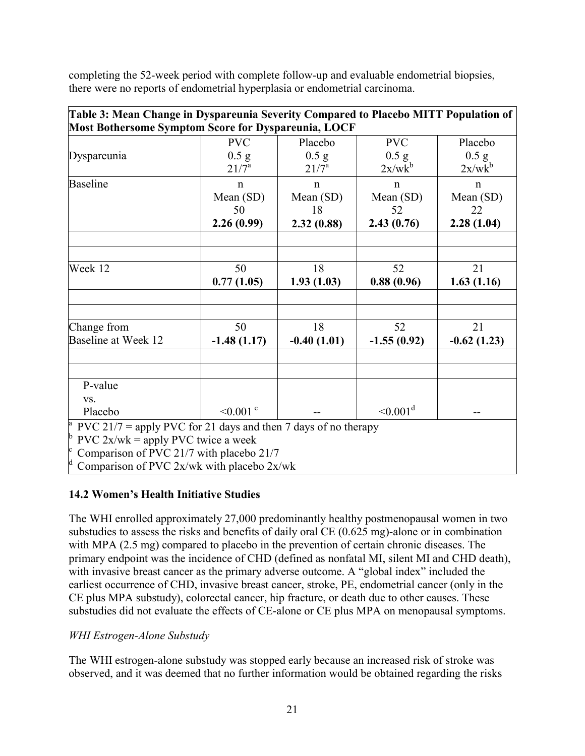| Table 3: Mean Change in Dyspareunia Severity Compared to Placebo MITT Population of<br><b>Most Bothersome Symptom Score for Dyspareunia, LOCF</b>                                                            |                                              |                                              |                                              |                                                |
|--------------------------------------------------------------------------------------------------------------------------------------------------------------------------------------------------------------|----------------------------------------------|----------------------------------------------|----------------------------------------------|------------------------------------------------|
| Dyspareunia                                                                                                                                                                                                  | <b>PVC</b><br>0.5 g<br>$21/7^a$              | Placebo<br>$0.5$ g<br>$21/7^a$               | <b>PVC</b><br>0.5 g<br>$2x/wk^b$             | Placebo<br>0.5 g<br>$2x/wk^b$                  |
| <b>Baseline</b>                                                                                                                                                                                              | $\mathbf n$<br>Mean (SD)<br>50<br>2.26(0.99) | $\mathbf n$<br>Mean (SD)<br>18<br>2.32(0.88) | $\mathbf n$<br>Mean (SD)<br>52<br>2.43(0.76) | $\mathbf n$<br>Mean $(SD)$<br>22<br>2.28(1.04) |
|                                                                                                                                                                                                              |                                              |                                              |                                              |                                                |
| Week 12                                                                                                                                                                                                      | 50<br>0.77(1.05)                             | 18<br>1.93(1.03)                             | 52<br>0.88(0.96)                             | 21<br>1.63(1.16)                               |
|                                                                                                                                                                                                              |                                              |                                              |                                              |                                                |
| Change from<br>Baseline at Week 12                                                                                                                                                                           | 50<br>$-1.48(1.17)$                          | 18<br>$-0.40(1.01)$                          | 52<br>$-1.55(0.92)$                          | 21<br>$-0.62(1.23)$                            |
|                                                                                                                                                                                                              |                                              |                                              |                                              |                                                |
| P-value<br>VS.<br>Placebo                                                                                                                                                                                    | $< 0.001$ <sup>c</sup>                       |                                              | ${<}0.001$ <sup>d</sup>                      |                                                |
| a<br>PVC $21/7$ = apply PVC for 21 days and then 7 days of no therapy<br>PVC $2x/wk =$ apply PVC twice a week<br>Comparison of PVC 21/7 with placebo 21/7<br>d<br>Comparison of PVC 2x/wk with placebo 2x/wk |                                              |                                              |                                              |                                                |

completing the 52-week period with complete follow-up and evaluable endometrial biopsies, there were no reports of endometrial hyperplasia or endometrial carcinoma.

### **14.2 Women's Health Initiative Studies**

The WHI enrolled approximately 27,000 predominantly healthy postmenopausal women in two substudies to assess the risks and benefits of daily oral CE (0.625 mg)-alone or in combination with MPA (2.5 mg) compared to placebo in the prevention of certain chronic diseases. The primary endpoint was the incidence of CHD (defined as nonfatal MI, silent MI and CHD death), with invasive breast cancer as the primary adverse outcome. A "global index" included the earliest occurrence of CHD, invasive breast cancer, stroke, PE, endometrial cancer (only in the CE plus MPA substudy), colorectal cancer, hip fracture, or death due to other causes. These substudies did not evaluate the effects of CE-alone or CE plus MPA on menopausal symptoms.

# *WHI Estrogen-Alone Substudy*

The WHI estrogen-alone substudy was stopped early because an increased risk of stroke was observed, and it was deemed that no further information would be obtained regarding the risks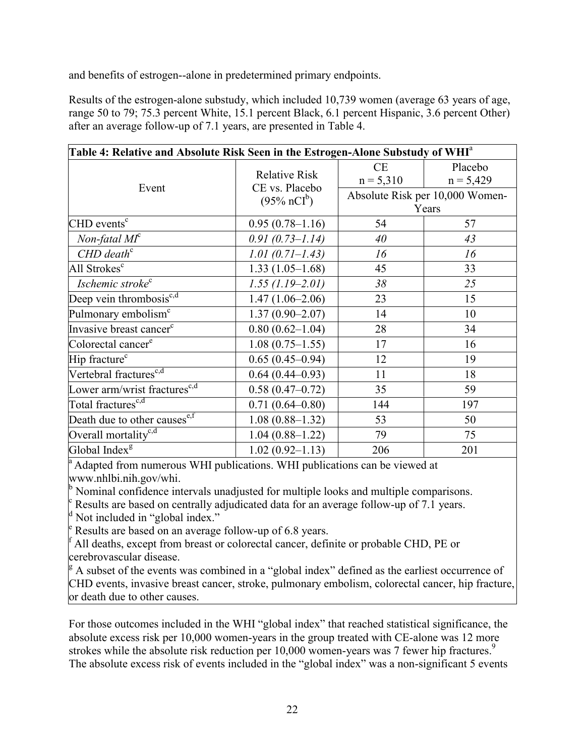and benefits of estrogen--alone in predetermined primary endpoints.

Results of the estrogen-alone substudy, which included 10,739 women (average 63 years of age, range 50 to 79; 75.3 percent White, 15.1 percent Black, 6.1 percent Hispanic, 3.6 percent Other) after an average follow-up of 7.1 years, are presented in Table 4.

| Table 4: Relative and Absolute Risk Seen in the Estrogen-Alone Substudy of WHI <sup>a</sup> |                                       |                                          |                        |  |
|---------------------------------------------------------------------------------------------|---------------------------------------|------------------------------------------|------------------------|--|
|                                                                                             | <b>Relative Risk</b>                  | <b>CE</b><br>$n = 5,310$                 | Placebo<br>$n = 5,429$ |  |
| Event                                                                                       | CE vs. Placebo<br>$(95\% \, nCI^{b})$ | Absolute Risk per 10,000 Women-<br>Years |                        |  |
| $CHD$ events <sup>c</sup>                                                                   | $0.95(0.78-1.16)$                     | 54                                       | 57                     |  |
| $Non-fatal Mfc$                                                                             | $0.91(0.73 - 1.14)$                   | 40                                       | 43                     |  |
| $CHD$ death $c$                                                                             | $1.01(0.71 - 1.43)$                   | 16                                       | 16                     |  |
| All Strokes <sup>c</sup>                                                                    | $1.33(1.05-1.68)$                     | 45                                       | 33                     |  |
| Ischemic stroke <sup>c</sup>                                                                | $1.55$ (1.19–2.01)                    | 38                                       | 25                     |  |
| Deep vein thrombosis $c,d$                                                                  | $1.47(1.06 - 2.06)$                   | 23                                       | 15                     |  |
| Pulmonary embolism <sup>c</sup>                                                             | $1.37(0.90 - 2.07)$                   | 14                                       | 10                     |  |
| Invasive breast cancer <sup>c</sup>                                                         | $0.80(0.62 - 1.04)$                   | 28                                       | 34                     |  |
| Colorectal cancer <sup>e</sup>                                                              | $1.08(0.75-1.55)$                     | 17                                       | 16                     |  |
| Hip fracture <sup>c</sup>                                                                   | $0.65(0.45-0.94)$                     | 12                                       | 19                     |  |
| Vertebral fractures <sup>c,d</sup>                                                          | $0.64(0.44 - 0.93)$                   | 11                                       | 18                     |  |
| Lower arm/wrist fractures <sup>c,d</sup>                                                    | $0.58(0.47-0.72)$                     | 35                                       | 59                     |  |
| Total fractures <sup>c,d</sup>                                                              | $0.71(0.64 - 0.80)$                   | 144                                      | 197                    |  |
| Death due to other causes <sup>e,f</sup>                                                    | $1.08(0.88 - 1.32)$                   | 53                                       | 50                     |  |
| Overall mortality <sup>c,d</sup>                                                            | $1.04(0.88 - 1.22)$                   | 79                                       | 75                     |  |
| Global Index <sup>g</sup>                                                                   | $1.02(0.92 - 1.13)$                   | 206                                      | 201                    |  |

<sup>a</sup> Adapted from numerous WHI publications. WHI publications can be viewed at www.nhlbi.nih.gov/whi.

<sup>b</sup> Nominal confidence intervals unadjusted for multiple looks and multiple comparisons.

Results are based on centrally adjudicated data for an average follow-up of 7.1 years.

Not included in "global index."

Results are based on an average follow-up of 6.8 years.

All deaths, except from breast or colorectal cancer, definite or probable CHD, PE or cerebrovascular disease.

 $\beta$  A subset of the events was combined in a "global index" defined as the earliest occurrence of CHD events, invasive breast cancer, stroke, pulmonary embolism, colorectal cancer, hip fracture, or death due to other causes.

For those outcomes included in the WHI "global index" that reached statistical significance, the absolute excess risk per 10,000 women-years in the group treated with CE-alone was 12 more strokes while the absolute risk reduction per 10,000 women-years was 7 fewer hip fractures.<sup>9</sup> The absolute excess risk of events included in the "global index" was a non-significant 5 events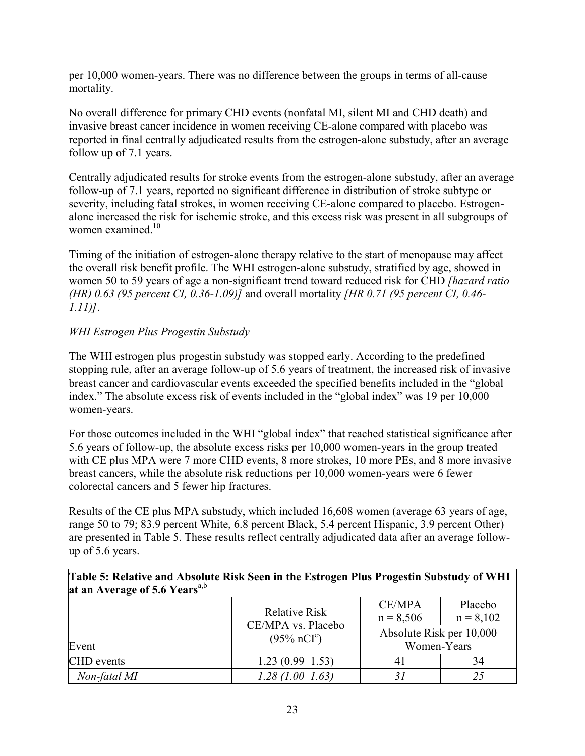per 10,000 women-years. There was no difference between the groups in terms of all-cause mortality.

No overall difference for primary CHD events (nonfatal MI, silent MI and CHD death) and invasive breast cancer incidence in women receiving CE-alone compared with placebo was reported in final centrally adjudicated results from the estrogen-alone substudy, after an average follow up of 7.1 years.

Centrally adjudicated results for stroke events from the estrogen-alone substudy, after an average follow-up of 7.1 years, reported no significant difference in distribution of stroke subtype or severity, including fatal strokes, in women receiving CE-alone compared to placebo. Estrogenalone increased the risk for ischemic stroke, and this excess risk was present in all subgroups of women examined  $10^{-10}$ 

Timing of the initiation of estrogen-alone therapy relative to the start of menopause may affect the overall risk benefit profile. The WHI estrogen-alone substudy, stratified by age, showed in women 50 to 59 years of age a non-significant trend toward reduced risk for CHD *[hazard ratio (HR) 0.63 (95 percent CI, 0.36-1.09)]* and overall mortality *[HR 0.71 (95 percent CI, 0.46- 1.11)]*.

# *WHI Estrogen Plus Progestin Substudy*

The WHI estrogen plus progestin substudy was stopped early. According to the predefined stopping rule, after an average follow-up of 5.6 years of treatment, the increased risk of invasive breast cancer and cardiovascular events exceeded the specified benefits included in the "global index." The absolute excess risk of events included in the "global index" was 19 per 10,000 women-years.

For those outcomes included in the WHI "global index" that reached statistical significance after 5.6 years of follow-up, the absolute excess risks per 10,000 women-years in the group treated with CE plus MPA were 7 more CHD events, 8 more strokes, 10 more PEs, and 8 more invasive breast cancers, while the absolute risk reductions per 10,000 women-years were 6 fewer colorectal cancers and 5 fewer hip fractures.

Results of the CE plus MPA substudy, which included 16,608 women (average 63 years of age, range 50 to 79; 83.9 percent White, 6.8 percent Black, 5.4 percent Hispanic, 3.9 percent Other) are presented in Table 5. These results reflect centrally adjudicated data after an average followup of 5.6 years.

| <b>Table 5: Relative and Absolute Risk Seen in the Estrogen Plus Progestin Substudy of WHI</b><br>at an Average of 5.6 Years <sup>a,b</sup> |                                     |                              |                        |  |
|---------------------------------------------------------------------------------------------------------------------------------------------|-------------------------------------|------------------------------|------------------------|--|
|                                                                                                                                             | Relative Risk<br>CE/MPA vs. Placebo | <b>CE/MPA</b><br>$n = 8,506$ | Placebo<br>$n = 8,102$ |  |
|                                                                                                                                             | $(\Omega F_0 / \partial T^c)$       | Absolute Risk per 10,000     |                        |  |

| Table 5: Relative and Absolute Risk Seen in the Estrogen Plus Progestin Substudy of WHI |  |  |
|-----------------------------------------------------------------------------------------|--|--|
| at an Average of 5.6 Years <sup>a,b</sup>                                               |  |  |

|                   |                                        | $n = 8.506$                             | $n = \delta$ , $102$ |
|-------------------|----------------------------------------|-----------------------------------------|----------------------|
| Event             | CE/MPA vs. Placebo<br>$(95\% \, nCIc)$ | Absolute Risk per 10,000<br>Women-Years |                      |
| <b>CHD</b> events | $1.23(0.99-1.53)$                      |                                         |                      |
| Non-fatal MI      | $1.28(1.00-1.63)$                      |                                         |                      |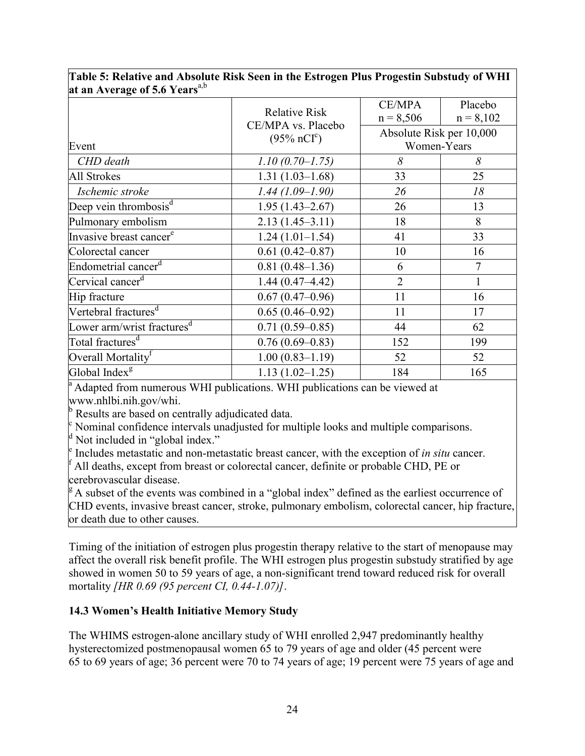| at all Average of 5.0 Tears            |                                        |                                         |                        |  |
|----------------------------------------|----------------------------------------|-----------------------------------------|------------------------|--|
|                                        | <b>Relative Risk</b>                   | <b>CE/MPA</b><br>$n = 8,506$            | Placebo<br>$n = 8,102$ |  |
| Event                                  | CE/MPA vs. Placebo<br>$(95\% \, nCIc)$ | Absolute Risk per 10,000<br>Women-Years |                        |  |
| CHD death                              | $1.10(0.70 - 1.75)$                    | 8                                       | 8                      |  |
| <b>All Strokes</b>                     | $1.31(1.03-1.68)$                      | 33                                      | 25                     |  |
| Ischemic stroke                        | $1.44(1.09-1.90)$                      | 26                                      | 18                     |  |
| Deep vein thrombosis <sup>d</sup>      | $1.95(1.43 - 2.67)$                    | 26                                      | 13                     |  |
| Pulmonary embolism                     | $2.13(1.45-3.11)$                      | 18                                      | 8                      |  |
| Invasive breast cancer <sup>e</sup>    | $1.24(1.01-1.54)$                      | 41                                      | 33                     |  |
| Colorectal cancer                      | $0.61(0.42 - 0.87)$                    | 10                                      | 16                     |  |
| Endometrial cancer <sup>d</sup>        | $0.81(0.48 - 1.36)$                    | 6                                       | 7                      |  |
| Cervical cancer <sup>d</sup>           | $1.44(0.47 - 4.42)$                    | $\overline{2}$                          |                        |  |
| Hip fracture                           | $0.67(0.47-0.96)$                      | 11                                      | 16                     |  |
| Vertebral fractures <sup>d</sup>       | $0.65(0.46-0.92)$                      | 11                                      | 17                     |  |
| Lower arm/wrist fractures <sup>d</sup> | $0.71(0.59 - 0.85)$                    | 44                                      | 62                     |  |
| Total fractures <sup>d</sup>           | $0.76(0.69 - 0.83)$                    | 152                                     | 199                    |  |
| Overall Mortality <sup>f</sup>         | $1.00(0.83 - 1.19)$                    | 52                                      | 52                     |  |
| Global Index <sup>g</sup>              | $1.13(1.02 - 1.25)$                    | 184                                     | 165                    |  |

**Table 5: Relative and Absolute Risk Seen in the Estrogen Plus Progestin Substudy of WHI at an Average of 5.6 Years**a,b

<sup>a</sup> Adapted from numerous WHI publications. WHI publications can be viewed at www.nhlbi.nih.gov/whi.

Results are based on centrally adjudicated data.

Nominal confidence intervals unadjusted for multiple looks and multiple comparisons.

Not included in "global index."

e Includes metastatic and non-metastatic breast cancer, with the exception of *in situ* cancer.

<sup>f</sup> All deaths, except from breast or colorectal cancer, definite or probable CHD, PE or cerebrovascular disease.

 $\beta$  A subset of the events was combined in a "global index" defined as the earliest occurrence of CHD events, invasive breast cancer, stroke, pulmonary embolism, colorectal cancer, hip fracture, or death due to other causes.

Timing of the initiation of estrogen plus progestin therapy relative to the start of menopause may affect the overall risk benefit profile. The WHI estrogen plus progestin substudy stratified by age showed in women 50 to 59 years of age, a non-significant trend toward reduced risk for overall mortality *[HR 0.69 (95 percent CI, 0.44-1.07)]*.

# **14.3 Women's Health Initiative Memory Study**

The WHIMS estrogen-alone ancillary study of WHI enrolled 2,947 predominantly healthy hysterectomized postmenopausal women 65 to 79 years of age and older (45 percent were 65 to 69 years of age; 36 percent were 70 to 74 years of age; 19 percent were 75 years of age and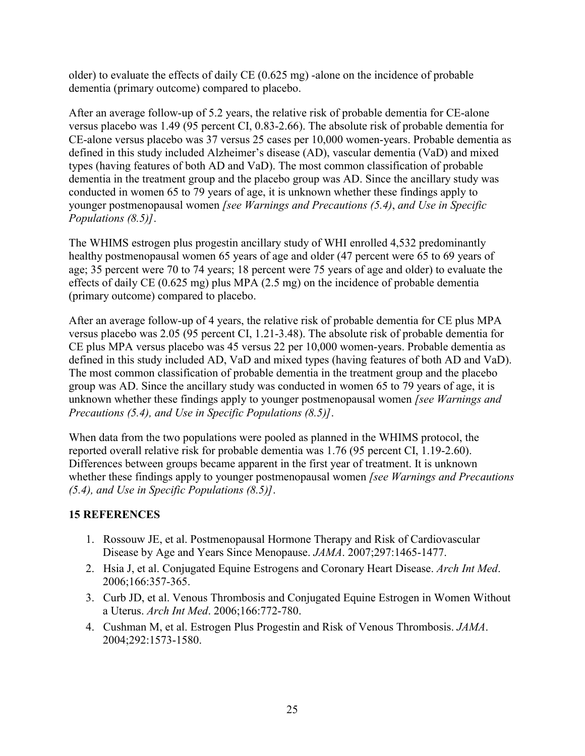older) to evaluate the effects of daily CE (0.625 mg) -alone on the incidence of probable dementia (primary outcome) compared to placebo.

After an average follow-up of 5.2 years, the relative risk of probable dementia for CE-alone versus placebo was 1.49 (95 percent CI, 0.83-2.66). The absolute risk of probable dementia for CE-alone versus placebo was 37 versus 25 cases per 10,000 women-years. Probable dementia as defined in this study included Alzheimer's disease (AD), vascular dementia (VaD) and mixed types (having features of both AD and VaD). The most common classification of probable dementia in the treatment group and the placebo group was AD. Since the ancillary study was conducted in women 65 to 79 years of age, it is unknown whether these findings apply to younger postmenopausal women *[see Warnings and Precautions (5.4)*, *and Use in Specific Populations (8.5)]*.

The WHIMS estrogen plus progestin ancillary study of WHI enrolled 4,532 predominantly healthy postmenopausal women 65 years of age and older (47 percent were 65 to 69 years of age; 35 percent were 70 to 74 years; 18 percent were 75 years of age and older) to evaluate the effects of daily CE (0.625 mg) plus MPA (2.5 mg) on the incidence of probable dementia (primary outcome) compared to placebo.

After an average follow-up of 4 years, the relative risk of probable dementia for CE plus MPA versus placebo was 2.05 (95 percent CI, 1.21-3.48). The absolute risk of probable dementia for CE plus MPA versus placebo was 45 versus 22 per 10,000 women-years. Probable dementia as defined in this study included AD, VaD and mixed types (having features of both AD and VaD). The most common classification of probable dementia in the treatment group and the placebo group was AD. Since the ancillary study was conducted in women 65 to 79 years of age, it is unknown whether these findings apply to younger postmenopausal women *[see Warnings and Precautions (5.4), and Use in Specific Populations (8.5)]*.

When data from the two populations were pooled as planned in the WHIMS protocol, the reported overall relative risk for probable dementia was 1.76 (95 percent CI, 1.19-2.60). Differences between groups became apparent in the first year of treatment. It is unknown whether these findings apply to younger postmenopausal women *[see Warnings and Precautions (5.4), and Use in Specific Populations (8.5)]*.

# **15 REFERENCES**

- 1. Rossouw JE, et al. Postmenopausal Hormone Therapy and Risk of Cardiovascular Disease by Age and Years Since Menopause. *JAMA*. 2007;297:1465-1477.
- 2. Hsia J, et al. Conjugated Equine Estrogens and Coronary Heart Disease. *Arch Int Med*. 2006;166:357-365.
- 3. Curb JD, et al. Venous Thrombosis and Conjugated Equine Estrogen in Women Without a Uterus. *Arch Int Med*. 2006;166:772-780.
- 4. Cushman M, et al. Estrogen Plus Progestin and Risk of Venous Thrombosis. *JAMA*. 2004;292:1573-1580.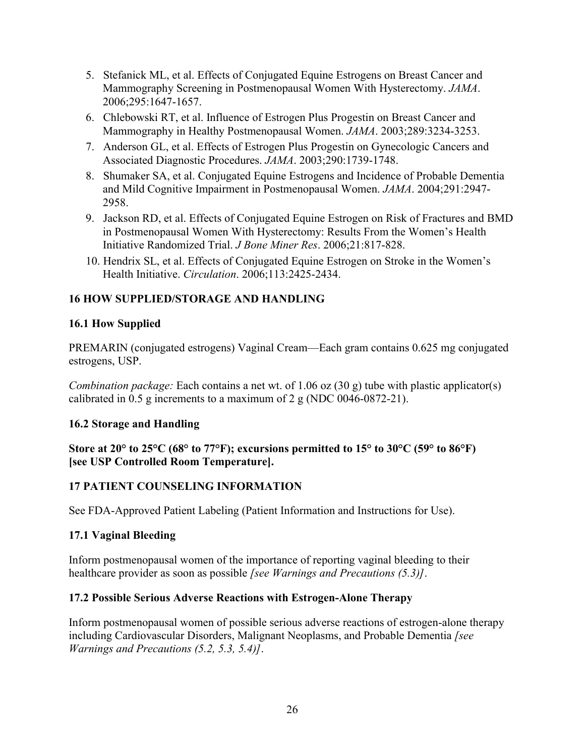- 5. Stefanick ML, et al. Effects of Conjugated Equine Estrogens on Breast Cancer and Mammography Screening in Postmenopausal Women With Hysterectomy. *JAMA*. 2006;295:1647-1657.
- 6. Chlebowski RT, et al. Influence of Estrogen Plus Progestin on Breast Cancer and Mammography in Healthy Postmenopausal Women. *JAMA*. 2003;289:3234-3253.
- 7. Anderson GL, et al. Effects of Estrogen Plus Progestin on Gynecologic Cancers and Associated Diagnostic Procedures. *JAMA*. 2003;290:1739-1748.
- 8. Shumaker SA, et al. Conjugated Equine Estrogens and Incidence of Probable Dementia and Mild Cognitive Impairment in Postmenopausal Women. *JAMA*. 2004;291:2947- 2958.
- 9. Jackson RD, et al. Effects of Conjugated Equine Estrogen on Risk of Fractures and BMD in Postmenopausal Women With Hysterectomy: Results From the Women's Health Initiative Randomized Trial. *J Bone Miner Res*. 2006;21:817-828.
- 10. Hendrix SL, et al. Effects of Conjugated Equine Estrogen on Stroke in the Women's Health Initiative. *Circulation*. 2006;113:2425-2434.

# **16 HOW SUPPLIED/STORAGE AND HANDLING**

# **16.1 How Supplied**

PREMARIN (conjugated estrogens) Vaginal Cream—Each gram contains 0.625 mg conjugated estrogens, USP.

*Combination package:* Each contains a net wt. of 1.06 oz (30 g) tube with plastic applicator(s) calibrated in 0.5 g increments to a maximum of 2 g (NDC 0046-0872-21).

### **16.2 Storage and Handling**

**Store at 20° to 25°C (68° to 77°F); excursions permitted to 15° to 30°C (59° to 86°F) [see USP Controlled Room Temperature].**

# **17 PATIENT COUNSELING INFORMATION**

See FDA-Approved Patient Labeling (Patient Information and Instructions for Use).

# **17.1 Vaginal Bleeding**

Inform postmenopausal women of the importance of reporting vaginal bleeding to their healthcare provider as soon as possible *[see Warnings and Precautions (5.3)]*.

# **17.2 Possible Serious Adverse Reactions with Estrogen-Alone Therapy**

Inform postmenopausal women of possible serious adverse reactions of estrogen-alone therapy including Cardiovascular Disorders, Malignant Neoplasms, and Probable Dementia *[see Warnings and Precautions (5.2, 5.3, 5.4)]*.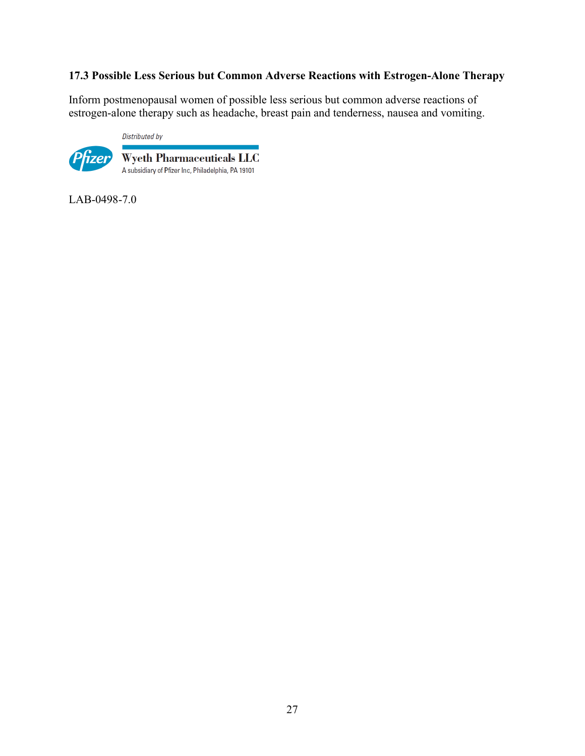# **17.3 Possible Less Serious but Common Adverse Reactions with Estrogen-Alone Therapy**

Inform postmenopausal women of possible less serious but common adverse reactions of estrogen-alone therapy such as headache, breast pain and tenderness, nausea and vomiting.

**Distributed by** 



LAB-0498-7.0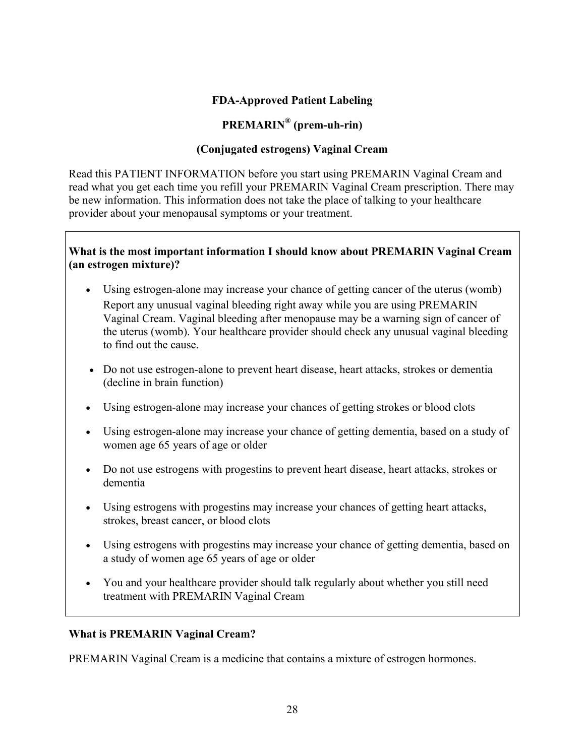# **FDA-Approved Patient Labeling**

# **PREMARIN® (prem-uh-rin)**

# **(Conjugated estrogens) Vaginal Cream**

Read this PATIENT INFORMATION before you start using PREMARIN Vaginal Cream and read what you get each time you refill your PREMARIN Vaginal Cream prescription. There may be new information. This information does not take the place of talking to your healthcare provider about your menopausal symptoms or your treatment.

### **What is the most important information I should know about PREMARIN Vaginal Cream (an estrogen mixture)?**

- Using estrogen-alone may increase your chance of getting cancer of the uterus (womb) Report any unusual vaginal bleeding right away while you are using PREMARIN Vaginal Cream. Vaginal bleeding after menopause may be a warning sign of cancer of the uterus (womb). Your healthcare provider should check any unusual vaginal bleeding to find out the cause.
- Do not use estrogen-alone to prevent heart disease, heart attacks, strokes or dementia (decline in brain function)
- Using estrogen-alone may increase your chances of getting strokes or blood clots
- Using estrogen-alone may increase your chance of getting dementia, based on a study of women age 65 years of age or older
- Do not use estrogens with progestins to prevent heart disease, heart attacks, strokes or dementia
- Using estrogens with progestins may increase your chances of getting heart attacks, strokes, breast cancer, or blood clots
- Using estrogens with progestins may increase your chance of getting dementia, based on a study of women age 65 years of age or older
- You and your healthcare provider should talk regularly about whether you still need treatment with PREMARIN Vaginal Cream

### **What is PREMARIN Vaginal Cream?**

PREMARIN Vaginal Cream is a medicine that contains a mixture of estrogen hormones.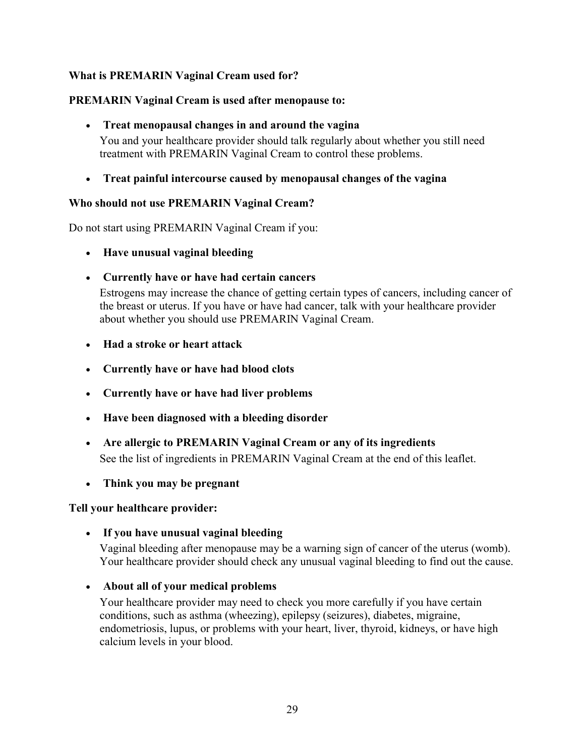# **What is PREMARIN Vaginal Cream used for?**

# **PREMARIN Vaginal Cream is used after menopause to:**

- **Treat menopausal changes in and around the vagina** You and your healthcare provider should talk regularly about whether you still need treatment with PREMARIN Vaginal Cream to control these problems.
- **Treat painful intercourse caused by menopausal changes of the vagina**

### **Who should not use PREMARIN Vaginal Cream?**

Do not start using PREMARIN Vaginal Cream if you:

- **Have unusual vaginal bleeding**
- **Currently have or have had certain cancers**

Estrogens may increase the chance of getting certain types of cancers, including cancer of the breast or uterus. If you have or have had cancer, talk with your healthcare provider about whether you should use PREMARIN Vaginal Cream.

- **Had a stroke or heart attack**
- **Currently have or have had blood clots**
- **Currently have or have had liver problems**
- **Have been diagnosed with a bleeding disorder**
- **Are allergic to PREMARIN Vaginal Cream or any of its ingredients** See the list of ingredients in PREMARIN Vaginal Cream at the end of this leaflet.
- **Think you may be pregnant**

### **Tell your healthcare provider:**

**If you have unusual vaginal bleeding**

Vaginal bleeding after menopause may be a warning sign of cancer of the uterus (womb). Your healthcare provider should check any unusual vaginal bleeding to find out the cause.

**About all of your medical problems**

Your healthcare provider may need to check you more carefully if you have certain conditions, such as asthma (wheezing), epilepsy (seizures), diabetes, migraine, endometriosis, lupus, or problems with your heart, liver, thyroid, kidneys, or have high calcium levels in your blood.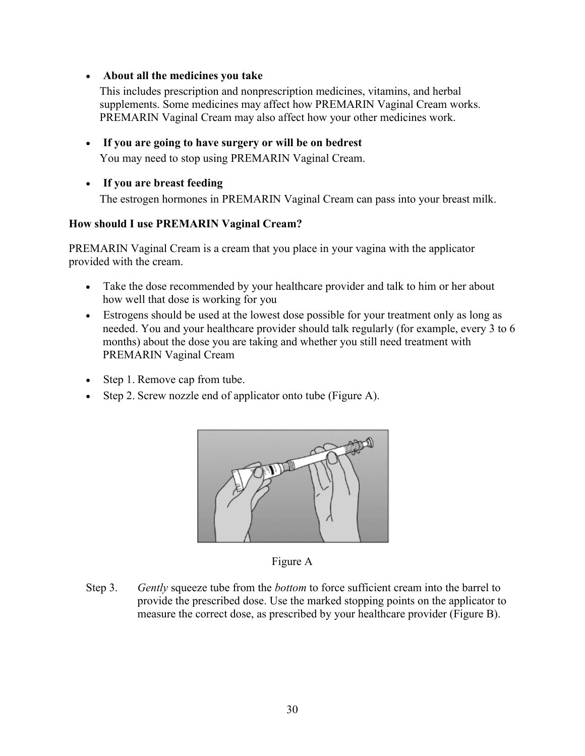### **About all the medicines you take**

This includes prescription and nonprescription medicines, vitamins, and herbal supplements. Some medicines may affect how PREMARIN Vaginal Cream works. PREMARIN Vaginal Cream may also affect how your other medicines work.

 **If you are going to have surgery or will be on bedrest** You may need to stop using PREMARIN Vaginal Cream.

# **If you are breast feeding**

The estrogen hormones in PREMARIN Vaginal Cream can pass into your breast milk.

# **How should I use PREMARIN Vaginal Cream?**

PREMARIN Vaginal Cream is a cream that you place in your vagina with the applicator provided with the cream.

- Take the dose recommended by your healthcare provider and talk to him or her about how well that dose is working for you
- Estrogens should be used at the lowest dose possible for your treatment only as long as needed. You and your healthcare provider should talk regularly (for example, every 3 to 6 months) about the dose you are taking and whether you still need treatment with PREMARIN Vaginal Cream
- Step 1. Remove cap from tube.
- Step 2. Screw nozzle end of applicator onto tube (Figure A).



Figure A

Step 3. *Gently* squeeze tube from the *bottom* to force sufficient cream into the barrel to provide the prescribed dose. Use the marked stopping points on the applicator to measure the correct dose, as prescribed by your healthcare provider (Figure B).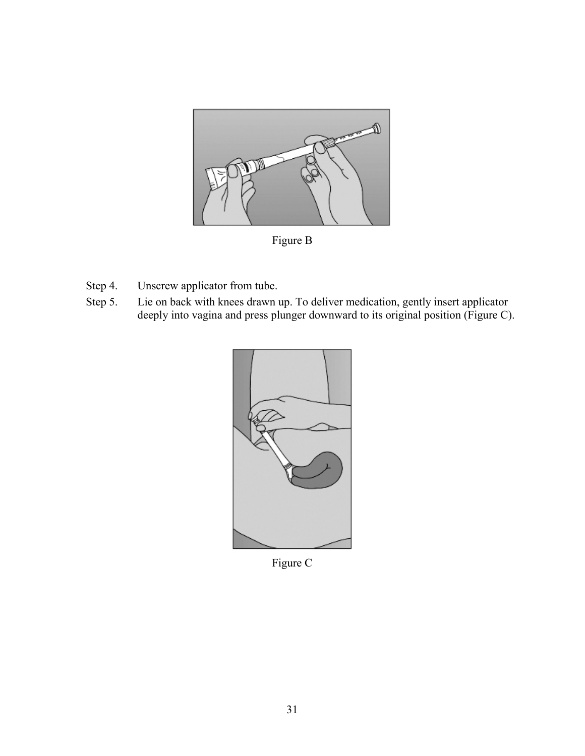

Figure B

- Step 4. Unscrew applicator from tube.
- Step 5. Lie on back with knees drawn up. To deliver medication, gently insert applicator deeply into vagina and press plunger downward to its original position (Figure C).



Figure C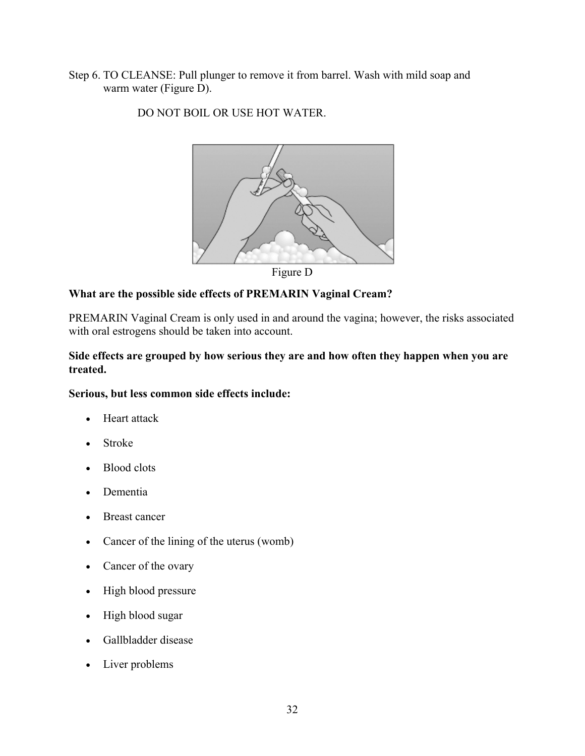# Step 6. TO CLEANSE: Pull plunger to remove it from barrel. Wash with mild soap and warm water (Figure D).

DO NOT BOIL OR USE HOT WATER.

Figure D

# **What are the possible side effects of PREMARIN Vaginal Cream?**

PREMARIN Vaginal Cream is only used in and around the vagina; however, the risks associated with oral estrogens should be taken into account.

#### **Side effects are grouped by how serious they are and how often they happen when you are treated.**

### **Serious, but less common side effects include:**

- Heart attack
- Stroke
- Blood clots
- Dementia
- Breast cancer
- Cancer of the lining of the uterus (womb)
- Cancer of the ovary
- High blood pressure
- High blood sugar
- Gallbladder disease
- Liver problems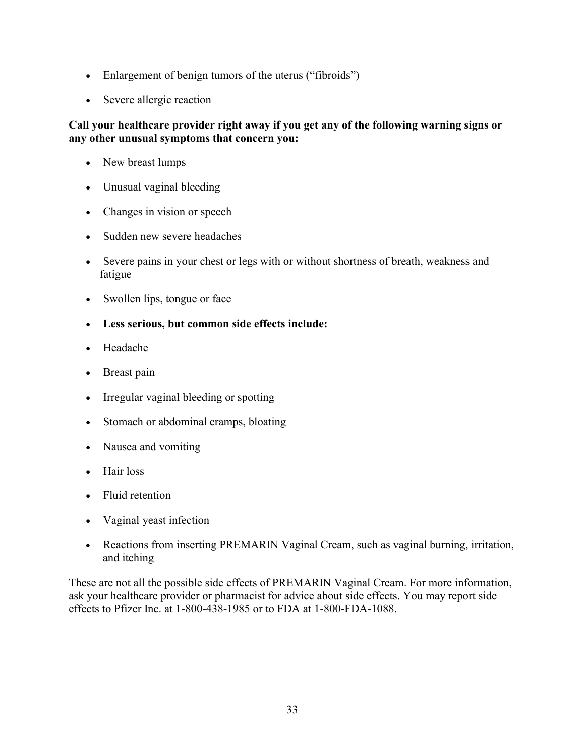- Enlargement of benign tumors of the uterus ("fibroids")
- Severe allergic reaction

### **Call your healthcare provider right away if you get any of the following warning signs or any other unusual symptoms that concern you:**

- New breast lumps
- Unusual vaginal bleeding
- Changes in vision or speech
- Sudden new severe headaches
- Severe pains in your chest or legs with or without shortness of breath, weakness and fatigue
- Swollen lips, tongue or face
- **Less serious, but common side effects include:**
- Headache
- Breast pain
- Irregular vaginal bleeding or spotting
- Stomach or abdominal cramps, bloating
- Nausea and vomiting
- Hair loss
- Fluid retention
- Vaginal yeast infection
- Reactions from inserting PREMARIN Vaginal Cream, such as vaginal burning, irritation, and itching

These are not all the possible side effects of PREMARIN Vaginal Cream. For more information, ask your healthcare provider or pharmacist for advice about side effects. You may report side effects to Pfizer Inc. at 1-800-438-1985 or to FDA at 1-800-FDA-1088.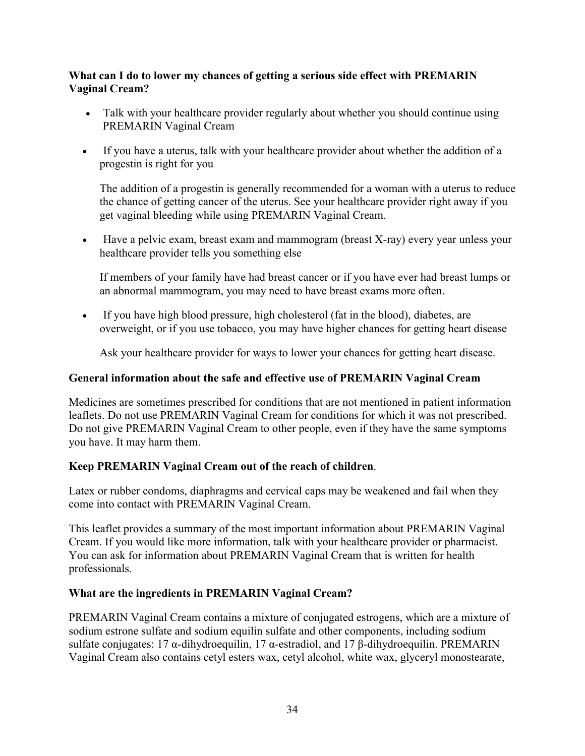### **What can I do to lower my chances of getting a serious side effect with PREMARIN Vaginal Cream?**

- Talk with your healthcare provider regularly about whether you should continue using PREMARIN Vaginal Cream
- If you have a uterus, talk with your healthcare provider about whether the addition of a progestin is right for you

The addition of a progestin is generally recommended for a woman with a uterus to reduce the chance of getting cancer of the uterus. See your healthcare provider right away if you get vaginal bleeding while using PREMARIN Vaginal Cream.

 Have a pelvic exam, breast exam and mammogram (breast X-ray) every year unless your healthcare provider tells you something else

If members of your family have had breast cancer or if you have ever had breast lumps or an abnormal mammogram, you may need to have breast exams more often.

 If you have high blood pressure, high cholesterol (fat in the blood), diabetes, are overweight, or if you use tobacco, you may have higher chances for getting heart disease

Ask your healthcare provider for ways to lower your chances for getting heart disease.

#### **General information about the safe and effective use of PREMARIN Vaginal Cream**

Medicines are sometimes prescribed for conditions that are not mentioned in patient information leaflets. Do not use PREMARIN Vaginal Cream for conditions for which it was not prescribed. Do not give PREMARIN Vaginal Cream to other people, even if they have the same symptoms you have. It may harm them.

### **Keep PREMARIN Vaginal Cream out of the reach of children**.

Latex or rubber condoms, diaphragms and cervical caps may be weakened and fail when they come into contact with PREMARIN Vaginal Cream.

This leaflet provides a summary of the most important information about PREMARIN Vaginal Cream. If you would like more information, talk with your healthcare provider or pharmacist. You can ask for information about PREMARIN Vaginal Cream that is written for health professionals.

### **What are the ingredients in PREMARIN Vaginal Cream?**

PREMARIN Vaginal Cream contains a mixture of conjugated estrogens, which are a mixture of sodium estrone sulfate and sodium equilin sulfate and other components, including sodium sulfate conjugates: 17  $\alpha$ -dihydroequilin, 17  $\alpha$ -estradiol, and 17  $\beta$ -dihydroequilin. PREMARIN Vaginal Cream also contains cetyl esters wax, cetyl alcohol, white wax, glyceryl monostearate,